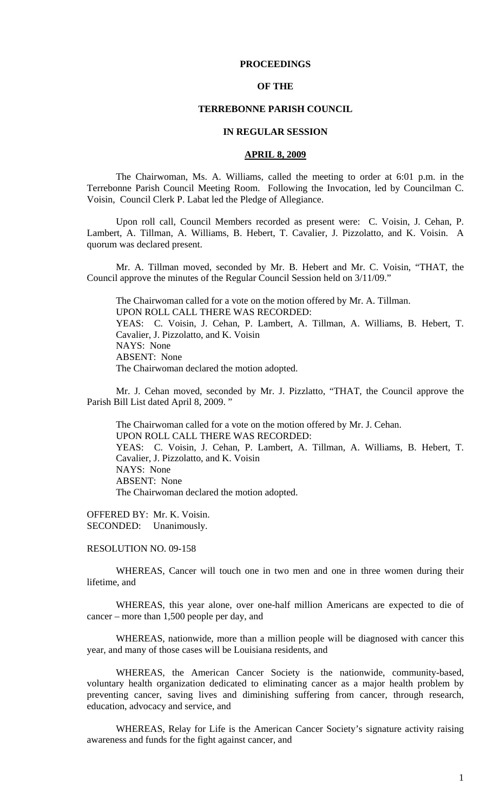# **PROCEEDINGS**

# **OF THE**

# **TERREBONNE PARISH COUNCIL**

### **IN REGULAR SESSION**

#### **APRIL 8, 2009**

 The Chairwoman, Ms. A. Williams, called the meeting to order at 6:01 p.m. in the Terrebonne Parish Council Meeting Room. Following the Invocation, led by Councilman C. Voisin, Council Clerk P. Labat led the Pledge of Allegiance.

Upon roll call, Council Members recorded as present were: C. Voisin, J. Cehan, P. Lambert, A. Tillman, A. Williams, B. Hebert, T. Cavalier, J. Pizzolatto, and K. Voisin. A quorum was declared present.

Mr. A. Tillman moved, seconded by Mr. B. Hebert and Mr. C. Voisin, "THAT, the Council approve the minutes of the Regular Council Session held on 3/11/09."

The Chairwoman called for a vote on the motion offered by Mr. A. Tillman. UPON ROLL CALL THERE WAS RECORDED: YEAS: C. Voisin, J. Cehan, P. Lambert, A. Tillman, A. Williams, B. Hebert, T. Cavalier, J. Pizzolatto, and K. Voisin NAYS: None ABSENT: None The Chairwoman declared the motion adopted.

Mr. J. Cehan moved, seconded by Mr. J. Pizzlatto, "THAT, the Council approve the Parish Bill List dated April 8, 2009. "

The Chairwoman called for a vote on the motion offered by Mr. J. Cehan. UPON ROLL CALL THERE WAS RECORDED: YEAS: C. Voisin, J. Cehan, P. Lambert, A. Tillman, A. Williams, B. Hebert, T. Cavalier, J. Pizzolatto, and K. Voisin NAYS: None ABSENT: None The Chairwoman declared the motion adopted.

OFFERED BY: Mr. K. Voisin. SECONDED: Unanimously.

#### RESOLUTION NO. 09-158

 WHEREAS, Cancer will touch one in two men and one in three women during their lifetime, and

 WHEREAS, this year alone, over one-half million Americans are expected to die of cancer – more than 1,500 people per day, and

 WHEREAS, nationwide, more than a million people will be diagnosed with cancer this year, and many of those cases will be Louisiana residents, and

 WHEREAS, the American Cancer Society is the nationwide, community-based, voluntary health organization dedicated to eliminating cancer as a major health problem by preventing cancer, saving lives and diminishing suffering from cancer, through research, education, advocacy and service, and

 WHEREAS, Relay for Life is the American Cancer Society's signature activity raising awareness and funds for the fight against cancer, and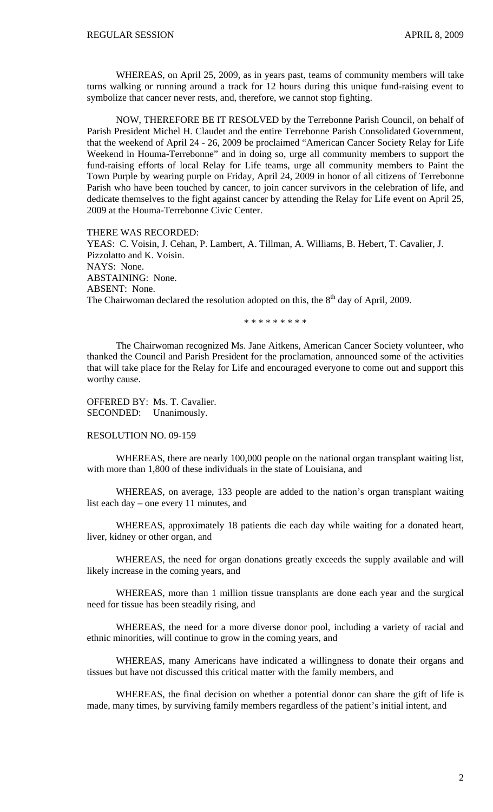WHEREAS, on April 25, 2009, as in years past, teams of community members will take turns walking or running around a track for 12 hours during this unique fund-raising event to symbolize that cancer never rests, and, therefore, we cannot stop fighting.

 NOW, THEREFORE BE IT RESOLVED by the Terrebonne Parish Council, on behalf of Parish President Michel H. Claudet and the entire Terrebonne Parish Consolidated Government, that the weekend of April 24 - 26, 2009 be proclaimed "American Cancer Society Relay for Life Weekend in Houma-Terrebonne" and in doing so, urge all community members to support the fund-raising efforts of local Relay for Life teams, urge all community members to Paint the Town Purple by wearing purple on Friday, April 24, 2009 in honor of all citizens of Terrebonne Parish who have been touched by cancer, to join cancer survivors in the celebration of life, and dedicate themselves to the fight against cancer by attending the Relay for Life event on April 25, 2009 at the Houma-Terrebonne Civic Center.

THERE WAS RECORDED: YEAS: C. Voisin, J. Cehan, P. Lambert, A. Tillman, A. Williams, B. Hebert, T. Cavalier, J. Pizzolatto and K. Voisin. NAYS: None. ABSTAINING: None. ABSENT: None. The Chairwoman declared the resolution adopted on this, the  $8<sup>th</sup>$  day of April, 2009.

\* \* \* \* \* \* \* \* \*

 The Chairwoman recognized Ms. Jane Aitkens, American Cancer Society volunteer, who thanked the Council and Parish President for the proclamation, announced some of the activities that will take place for the Relay for Life and encouraged everyone to come out and support this worthy cause.

OFFERED BY: Ms. T. Cavalier. SECONDED: Unanimously.

RESOLUTION NO. 09-159

WHEREAS, there are nearly 100,000 people on the national organ transplant waiting list, with more than 1,800 of these individuals in the state of Louisiana, and

 WHEREAS, on average, 133 people are added to the nation's organ transplant waiting list each day – one every 11 minutes, and

 WHEREAS, approximately 18 patients die each day while waiting for a donated heart, liver, kidney or other organ, and

 WHEREAS, the need for organ donations greatly exceeds the supply available and will likely increase in the coming years, and

 WHEREAS, more than 1 million tissue transplants are done each year and the surgical need for tissue has been steadily rising, and

 WHEREAS, the need for a more diverse donor pool, including a variety of racial and ethnic minorities, will continue to grow in the coming years, and

 WHEREAS, many Americans have indicated a willingness to donate their organs and tissues but have not discussed this critical matter with the family members, and

 WHEREAS, the final decision on whether a potential donor can share the gift of life is made, many times, by surviving family members regardless of the patient's initial intent, and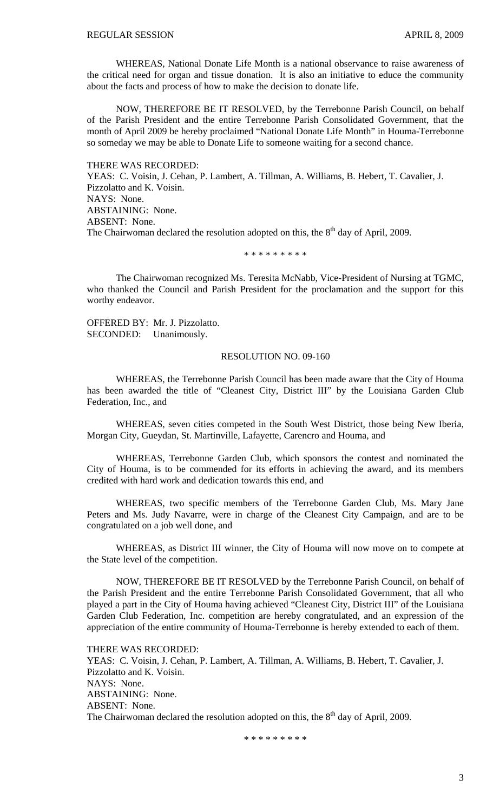WHEREAS, National Donate Life Month is a national observance to raise awareness of the critical need for organ and tissue donation. It is also an initiative to educe the community about the facts and process of how to make the decision to donate life.

 NOW, THEREFORE BE IT RESOLVED, by the Terrebonne Parish Council, on behalf of the Parish President and the entire Terrebonne Parish Consolidated Government, that the month of April 2009 be hereby proclaimed "National Donate Life Month" in Houma-Terrebonne so someday we may be able to Donate Life to someone waiting for a second chance.

THERE WAS RECORDED: YEAS: C. Voisin, J. Cehan, P. Lambert, A. Tillman, A. Williams, B. Hebert, T. Cavalier, J. Pizzolatto and K. Voisin. NAYS: None. ABSTAINING: None. ABSENT: None. The Chairwoman declared the resolution adopted on this, the  $8<sup>th</sup>$  day of April, 2009.

\* \* \* \* \* \* \* \* \*

 The Chairwoman recognized Ms. Teresita McNabb, Vice-President of Nursing at TGMC, who thanked the Council and Parish President for the proclamation and the support for this worthy endeavor.

OFFERED BY: Mr. J. Pizzolatto. SECONDED: Unanimously.

#### RESOLUTION NO. 09-160

WHEREAS, the Terrebonne Parish Council has been made aware that the City of Houma has been awarded the title of "Cleanest City, District III" by the Louisiana Garden Club Federation, Inc., and

 WHEREAS, seven cities competed in the South West District, those being New Iberia, Morgan City, Gueydan, St. Martinville, Lafayette, Carencro and Houma, and

 WHEREAS, Terrebonne Garden Club, which sponsors the contest and nominated the City of Houma, is to be commended for its efforts in achieving the award, and its members credited with hard work and dedication towards this end, and

 WHEREAS, two specific members of the Terrebonne Garden Club, Ms. Mary Jane Peters and Ms. Judy Navarre, were in charge of the Cleanest City Campaign, and are to be congratulated on a job well done, and

 WHEREAS, as District III winner, the City of Houma will now move on to compete at the State level of the competition.

 NOW, THEREFORE BE IT RESOLVED by the Terrebonne Parish Council, on behalf of the Parish President and the entire Terrebonne Parish Consolidated Government, that all who played a part in the City of Houma having achieved "Cleanest City, District III" of the Louisiana Garden Club Federation, Inc. competition are hereby congratulated, and an expression of the appreciation of the entire community of Houma-Terrebonne is hereby extended to each of them.

THERE WAS RECORDED: YEAS: C. Voisin, J. Cehan, P. Lambert, A. Tillman, A. Williams, B. Hebert, T. Cavalier, J. Pizzolatto and K. Voisin. NAYS: None. ABSTAINING: None. ABSENT: None. The Chairwoman declared the resolution adopted on this, the  $8<sup>th</sup>$  day of April, 2009.

\* \* \* \* \* \* \* \* \*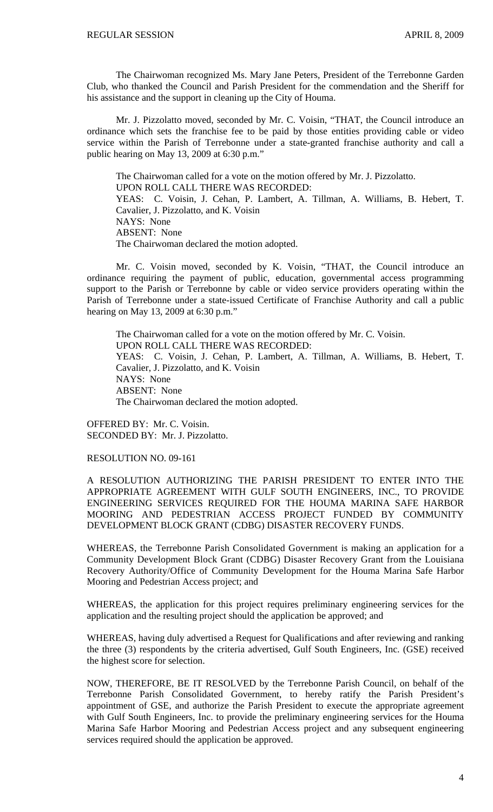The Chairwoman recognized Ms. Mary Jane Peters, President of the Terrebonne Garden Club, who thanked the Council and Parish President for the commendation and the Sheriff for his assistance and the support in cleaning up the City of Houma.

 Mr. J. Pizzolatto moved, seconded by Mr. C. Voisin, "THAT, the Council introduce an ordinance which sets the franchise fee to be paid by those entities providing cable or video service within the Parish of Terrebonne under a state-granted franchise authority and call a public hearing on May 13, 2009 at 6:30 p.m."

 The Chairwoman called for a vote on the motion offered by Mr. J. Pizzolatto. UPON ROLL CALL THERE WAS RECORDED: YEAS: C. Voisin, J. Cehan, P. Lambert, A. Tillman, A. Williams, B. Hebert, T. Cavalier, J. Pizzolatto, and K. Voisin NAYS: None ABSENT: None The Chairwoman declared the motion adopted.

 Mr. C. Voisin moved, seconded by K. Voisin, "THAT, the Council introduce an ordinance requiring the payment of public, education, governmental access programming support to the Parish or Terrebonne by cable or video service providers operating within the Parish of Terrebonne under a state-issued Certificate of Franchise Authority and call a public hearing on May 13, 2009 at 6:30 p.m."

 The Chairwoman called for a vote on the motion offered by Mr. C. Voisin. UPON ROLL CALL THERE WAS RECORDED: YEAS: C. Voisin, J. Cehan, P. Lambert, A. Tillman, A. Williams, B. Hebert, T. Cavalier, J. Pizzolatto, and K. Voisin NAYS: None ABSENT: None The Chairwoman declared the motion adopted.

OFFERED BY: Mr. C. Voisin. SECONDED BY: Mr. J. Pizzolatto.

## RESOLUTION NO. 09-161

A RESOLUTION AUTHORIZING THE PARISH PRESIDENT TO ENTER INTO THE APPROPRIATE AGREEMENT WITH GULF SOUTH ENGINEERS, INC., TO PROVIDE ENGINEERING SERVICES REQUIRED FOR THE HOUMA MARINA SAFE HARBOR MOORING AND PEDESTRIAN ACCESS PROJECT FUNDED BY COMMUNITY DEVELOPMENT BLOCK GRANT (CDBG) DISASTER RECOVERY FUNDS.

WHEREAS, the Terrebonne Parish Consolidated Government is making an application for a Community Development Block Grant (CDBG) Disaster Recovery Grant from the Louisiana Recovery Authority/Office of Community Development for the Houma Marina Safe Harbor Mooring and Pedestrian Access project; and

WHEREAS, the application for this project requires preliminary engineering services for the application and the resulting project should the application be approved; and

WHEREAS, having duly advertised a Request for Qualifications and after reviewing and ranking the three (3) respondents by the criteria advertised, Gulf South Engineers, Inc. (GSE) received the highest score for selection.

NOW, THEREFORE, BE IT RESOLVED by the Terrebonne Parish Council, on behalf of the Terrebonne Parish Consolidated Government, to hereby ratify the Parish President's appointment of GSE, and authorize the Parish President to execute the appropriate agreement with Gulf South Engineers, Inc. to provide the preliminary engineering services for the Houma Marina Safe Harbor Mooring and Pedestrian Access project and any subsequent engineering services required should the application be approved.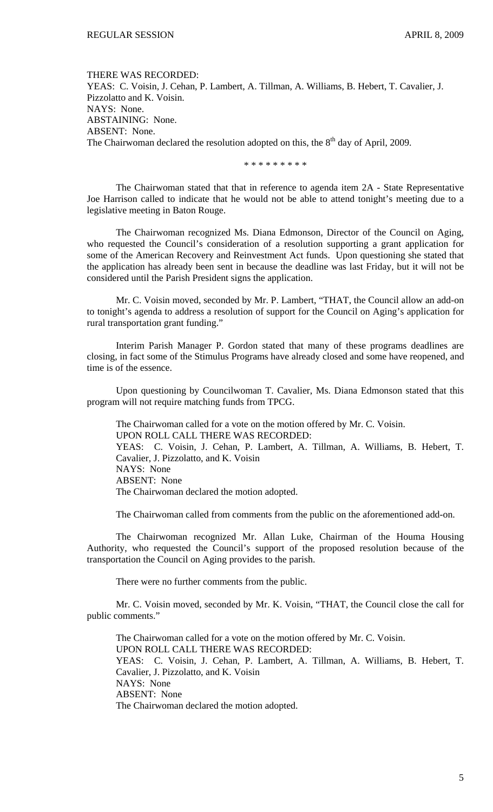THERE WAS RECORDED: YEAS: C. Voisin, J. Cehan, P. Lambert, A. Tillman, A. Williams, B. Hebert, T. Cavalier, J. Pizzolatto and K. Voisin. NAYS: None. ABSTAINING: None. ABSENT: None. The Chairwoman declared the resolution adopted on this, the 8<sup>th</sup> day of April, 2009.

\* \* \* \* \* \* \* \* \*

 The Chairwoman stated that that in reference to agenda item 2A - State Representative Joe Harrison called to indicate that he would not be able to attend tonight's meeting due to a legislative meeting in Baton Rouge.

 The Chairwoman recognized Ms. Diana Edmonson, Director of the Council on Aging, who requested the Council's consideration of a resolution supporting a grant application for some of the American Recovery and Reinvestment Act funds. Upon questioning she stated that the application has already been sent in because the deadline was last Friday, but it will not be considered until the Parish President signs the application.

 Mr. C. Voisin moved, seconded by Mr. P. Lambert, "THAT, the Council allow an add-on to tonight's agenda to address a resolution of support for the Council on Aging's application for rural transportation grant funding."

 Interim Parish Manager P. Gordon stated that many of these programs deadlines are closing, in fact some of the Stimulus Programs have already closed and some have reopened, and time is of the essence.

 Upon questioning by Councilwoman T. Cavalier, Ms. Diana Edmonson stated that this program will not require matching funds from TPCG.

 The Chairwoman called for a vote on the motion offered by Mr. C. Voisin. UPON ROLL CALL THERE WAS RECORDED: YEAS: C. Voisin, J. Cehan, P. Lambert, A. Tillman, A. Williams, B. Hebert, T. Cavalier, J. Pizzolatto, and K. Voisin NAYS: None ABSENT: None The Chairwoman declared the motion adopted.

The Chairwoman called from comments from the public on the aforementioned add-on.

The Chairwoman recognized Mr. Allan Luke, Chairman of the Houma Housing Authority, who requested the Council's support of the proposed resolution because of the transportation the Council on Aging provides to the parish.

There were no further comments from the public.

 Mr. C. Voisin moved, seconded by Mr. K. Voisin, "THAT, the Council close the call for public comments."

 The Chairwoman called for a vote on the motion offered by Mr. C. Voisin. UPON ROLL CALL THERE WAS RECORDED: YEAS: C. Voisin, J. Cehan, P. Lambert, A. Tillman, A. Williams, B. Hebert, T. Cavalier, J. Pizzolatto, and K. Voisin NAYS: None ABSENT: None The Chairwoman declared the motion adopted.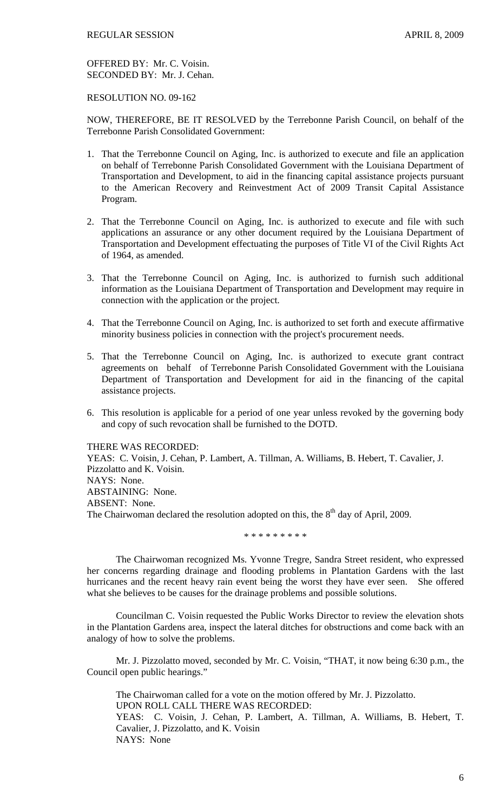OFFERED BY: Mr. C. Voisin. SECONDED BY: Mr. J. Cehan.

# RESOLUTION NO. 09-162

NOW, THEREFORE, BE IT RESOLVED by the Terrebonne Parish Council, on behalf of the Terrebonne Parish Consolidated Government:

- 1. That the Terrebonne Council on Aging, Inc. is authorized to execute and file an application on behalf of Terrebonne Parish Consolidated Government with the Louisiana Department of Transportation and Development, to aid in the financing capital assistance projects pursuant to the American Recovery and Reinvestment Act of 2009 Transit Capital Assistance Program.
- 2. That the Terrebonne Council on Aging, Inc. is authorized to execute and file with such applications an assurance or any other document required by the Louisiana Department of Transportation and Development effectuating the purposes of Title VI of the Civil Rights Act of 1964, as amended.
- 3. That the Terrebonne Council on Aging, Inc. is authorized to furnish such additional information as the Louisiana Department of Transportation and Development may require in connection with the application or the project.
- 4. That the Terrebonne Council on Aging, Inc. is authorized to set forth and execute affirmative minority business policies in connection with the project's procurement needs.
- 5. That the Terrebonne Council on Aging, Inc. is authorized to execute grant contract agreements on behalf of Terrebonne Parish Consolidated Government with the Louisiana Department of Transportation and Development for aid in the financing of the capital assistance projects.
- 6. This resolution is applicable for a period of one year unless revoked by the governing body and copy of such revocation shall be furnished to the DOTD.

# THERE WAS RECORDED:

YEAS: C. Voisin, J. Cehan, P. Lambert, A. Tillman, A. Williams, B. Hebert, T. Cavalier, J. Pizzolatto and K. Voisin. NAYS: None. ABSTAINING: None. ABSENT: None. The Chairwoman declared the resolution adopted on this, the  $8<sup>th</sup>$  day of April, 2009.

\* \* \* \* \* \* \* \* \*

 The Chairwoman recognized Ms. Yvonne Tregre, Sandra Street resident, who expressed her concerns regarding drainage and flooding problems in Plantation Gardens with the last hurricanes and the recent heavy rain event being the worst they have ever seen. She offered what she believes to be causes for the drainage problems and possible solutions.

 Councilman C. Voisin requested the Public Works Director to review the elevation shots in the Plantation Gardens area, inspect the lateral ditches for obstructions and come back with an analogy of how to solve the problems.

 Mr. J. Pizzolatto moved, seconded by Mr. C. Voisin, "THAT, it now being 6:30 p.m., the Council open public hearings."

 The Chairwoman called for a vote on the motion offered by Mr. J. Pizzolatto. UPON ROLL CALL THERE WAS RECORDED: YEAS: C. Voisin, J. Cehan, P. Lambert, A. Tillman, A. Williams, B. Hebert, T. Cavalier, J. Pizzolatto, and K. Voisin NAYS: None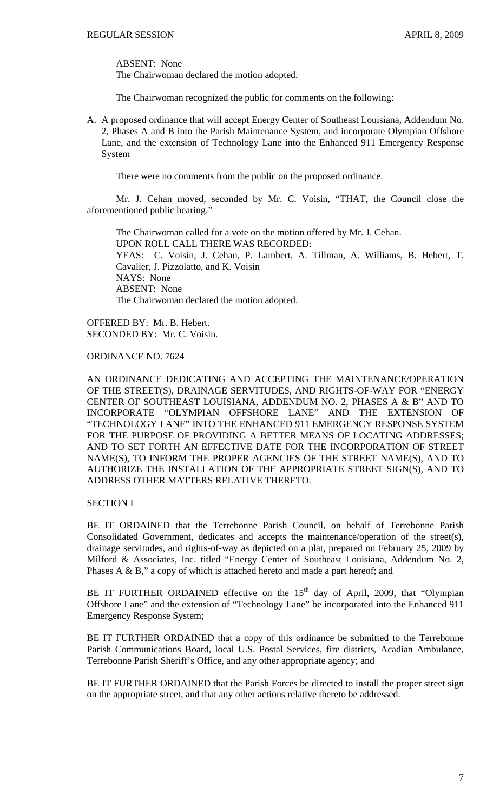ABSENT: None

The Chairwoman declared the motion adopted.

The Chairwoman recognized the public for comments on the following:

A. A proposed ordinance that will accept Energy Center of Southeast Louisiana, Addendum No. 2, Phases A and B into the Parish Maintenance System, and incorporate Olympian Offshore Lane, and the extension of Technology Lane into the Enhanced 911 Emergency Response System

There were no comments from the public on the proposed ordinance.

 Mr. J. Cehan moved, seconded by Mr. C. Voisin, "THAT, the Council close the aforementioned public hearing."

 The Chairwoman called for a vote on the motion offered by Mr. J. Cehan. UPON ROLL CALL THERE WAS RECORDED: YEAS: C. Voisin, J. Cehan, P. Lambert, A. Tillman, A. Williams, B. Hebert, T. Cavalier, J. Pizzolatto, and K. Voisin NAYS: None ABSENT: None The Chairwoman declared the motion adopted.

OFFERED BY: Mr. B. Hebert. SECONDED BY: Mr. C. Voisin.

ORDINANCE NO. 7624

AN ORDINANCE DEDICATING AND ACCEPTING THE MAINTENANCE/OPERATION OF THE STREET(S), DRAINAGE SERVITUDES, AND RIGHTS-OF-WAY FOR "ENERGY CENTER OF SOUTHEAST LOUISIANA, ADDENDUM NO. 2, PHASES A & B" AND TO INCORPORATE "OLYMPIAN OFFSHORE LANE" AND THE EXTENSION OF "TECHNOLOGY LANE" INTO THE ENHANCED 911 EMERGENCY RESPONSE SYSTEM FOR THE PURPOSE OF PROVIDING A BETTER MEANS OF LOCATING ADDRESSES; AND TO SET FORTH AN EFFECTIVE DATE FOR THE INCORPORATION OF STREET NAME(S), TO INFORM THE PROPER AGENCIES OF THE STREET NAME(S), AND TO AUTHORIZE THE INSTALLATION OF THE APPROPRIATE STREET SIGN(S), AND TO ADDRESS OTHER MATTERS RELATIVE THERETO.

# SECTION I

BE IT ORDAINED that the Terrebonne Parish Council, on behalf of Terrebonne Parish Consolidated Government, dedicates and accepts the maintenance/operation of the street(s), drainage servitudes, and rights-of-way as depicted on a plat, prepared on February 25, 2009 by Milford & Associates, Inc. titled "Energy Center of Southeast Louisiana, Addendum No. 2, Phases A  $\&$  B," a copy of which is attached hereto and made a part hereof; and

BE IT FURTHER ORDAINED effective on the  $15<sup>th</sup>$  day of April, 2009, that "Olympian Offshore Lane" and the extension of "Technology Lane" be incorporated into the Enhanced 911 Emergency Response System;

BE IT FURTHER ORDAINED that a copy of this ordinance be submitted to the Terrebonne Parish Communications Board, local U.S. Postal Services, fire districts, Acadian Ambulance, Terrebonne Parish Sheriff's Office, and any other appropriate agency; and

BE IT FURTHER ORDAINED that the Parish Forces be directed to install the proper street sign on the appropriate street, and that any other actions relative thereto be addressed.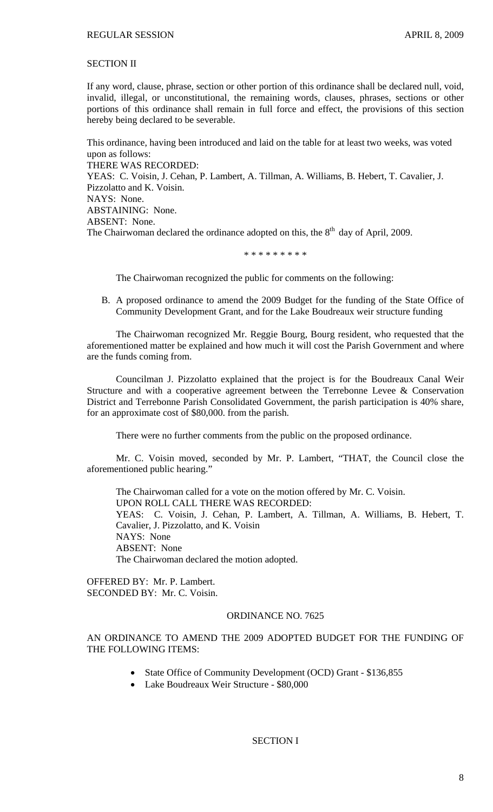# SECTION II

If any word, clause, phrase, section or other portion of this ordinance shall be declared null, void, invalid, illegal, or unconstitutional, the remaining words, clauses, phrases, sections or other portions of this ordinance shall remain in full force and effect, the provisions of this section hereby being declared to be severable.

This ordinance, having been introduced and laid on the table for at least two weeks, was voted upon as follows: THERE WAS RECORDED: YEAS: C. Voisin, J. Cehan, P. Lambert, A. Tillman, A. Williams, B. Hebert, T. Cavalier, J. Pizzolatto and K. Voisin. NAYS: None. ABSTAINING: None. ABSENT: None. The Chairwoman declared the ordinance adopted on this, the  $8<sup>th</sup>$  day of April, 2009.

\* \* \* \* \* \* \* \* \*

The Chairwoman recognized the public for comments on the following:

B. A proposed ordinance to amend the 2009 Budget for the funding of the State Office of Community Development Grant, and for the Lake Boudreaux weir structure funding

The Chairwoman recognized Mr. Reggie Bourg, Bourg resident, who requested that the aforementioned matter be explained and how much it will cost the Parish Government and where are the funds coming from.

 Councilman J. Pizzolatto explained that the project is for the Boudreaux Canal Weir Structure and with a cooperative agreement between the Terrebonne Levee & Conservation District and Terrebonne Parish Consolidated Government, the parish participation is 40% share, for an approximate cost of \$80,000. from the parish.

There were no further comments from the public on the proposed ordinance.

 Mr. C. Voisin moved, seconded by Mr. P. Lambert, "THAT, the Council close the aforementioned public hearing."

 The Chairwoman called for a vote on the motion offered by Mr. C. Voisin. UPON ROLL CALL THERE WAS RECORDED: YEAS: C. Voisin, J. Cehan, P. Lambert, A. Tillman, A. Williams, B. Hebert, T. Cavalier, J. Pizzolatto, and K. Voisin NAYS: None ABSENT: None The Chairwoman declared the motion adopted.

OFFERED BY: Mr. P. Lambert. SECONDED BY: Mr. C. Voisin.

#### ORDINANCE NO. 7625

# AN ORDINANCE TO AMEND THE 2009 ADOPTED BUDGET FOR THE FUNDING OF THE FOLLOWING ITEMS:

- State Office of Community Development (OCD) Grant \$136,855
- Lake Boudreaux Weir Structure \$80,000

## SECTION I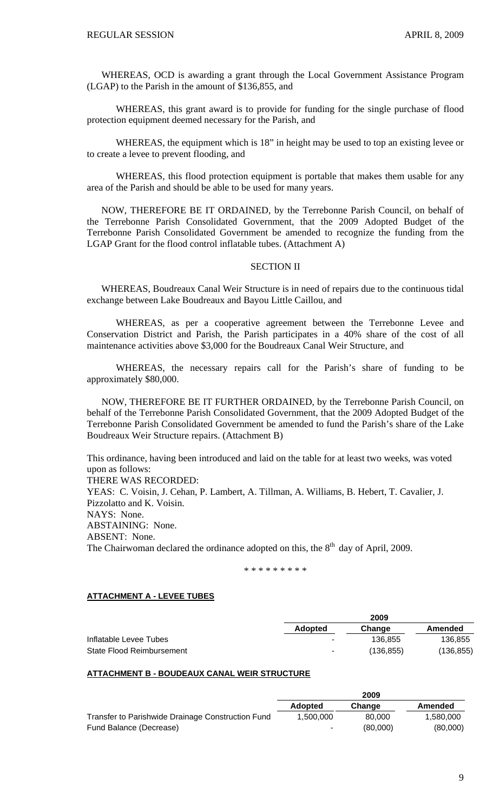WHEREAS, OCD is awarding a grant through the Local Government Assistance Program (LGAP) to the Parish in the amount of \$136,855, and

WHEREAS, this grant award is to provide for funding for the single purchase of flood protection equipment deemed necessary for the Parish, and

WHEREAS, the equipment which is 18" in height may be used to top an existing levee or to create a levee to prevent flooding, and

WHEREAS, this flood protection equipment is portable that makes them usable for any area of the Parish and should be able to be used for many years.

 NOW, THEREFORE BE IT ORDAINED, by the Terrebonne Parish Council, on behalf of the Terrebonne Parish Consolidated Government, that the 2009 Adopted Budget of the Terrebonne Parish Consolidated Government be amended to recognize the funding from the LGAP Grant for the flood control inflatable tubes. (Attachment A)

## SECTION II

 WHEREAS, Boudreaux Canal Weir Structure is in need of repairs due to the continuous tidal exchange between Lake Boudreaux and Bayou Little Caillou, and

WHEREAS, as per a cooperative agreement between the Terrebonne Levee and Conservation District and Parish, the Parish participates in a 40% share of the cost of all maintenance activities above \$3,000 for the Boudreaux Canal Weir Structure, and

WHEREAS, the necessary repairs call for the Parish's share of funding to be approximately \$80,000.

 NOW, THEREFORE BE IT FURTHER ORDAINED, by the Terrebonne Parish Council, on behalf of the Terrebonne Parish Consolidated Government, that the 2009 Adopted Budget of the Terrebonne Parish Consolidated Government be amended to fund the Parish's share of the Lake Boudreaux Weir Structure repairs. (Attachment B)

This ordinance, having been introduced and laid on the table for at least two weeks, was voted upon as follows: THERE WAS RECORDED: YEAS: C. Voisin, J. Cehan, P. Lambert, A. Tillman, A. Williams, B. Hebert, T. Cavalier, J. Pizzolatto and K. Voisin. NAYS: None. ABSTAINING: None. ABSENT: None. The Chairwoman declared the ordinance adopted on this, the  $8<sup>th</sup>$  day of April, 2009.

\* \* \* \* \* \* \* \* \*

#### **ATTACHMENT A - LEVEE TUBES**

|                           |                          | 2009       |            |
|---------------------------|--------------------------|------------|------------|
|                           | Adopted                  | Change     | Amended    |
| Inflatable Levee Tubes    | ۰                        | 136.855    | 136.855    |
| State Flood Reimbursement | $\overline{\phantom{a}}$ | (136, 855) | (136, 855) |

#### **ATTACHMENT B - BOUDEAUX CANAL WEIR STRUCTURE**

|                                                   | ----           |          |           |
|---------------------------------------------------|----------------|----------|-----------|
|                                                   | <b>Adopted</b> | Change   | Amended   |
| Transfer to Parishwide Drainage Construction Fund | 1.500.000      | 80,000   | 1,580,000 |
| Fund Balance (Decrease)                           | ۰.             | (80,000) | (80,000)  |

**2009**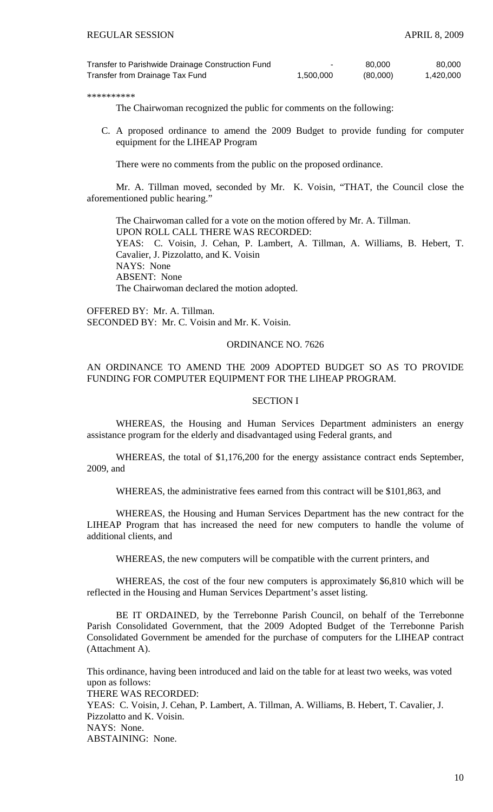| Transfer to Parishwide Drainage Construction Fund |           | 80,000   | 80,000    |
|---------------------------------------------------|-----------|----------|-----------|
| Transfer from Drainage Tax Fund                   | 1,500,000 | (80,000) | 1,420,000 |

\*\*\*\*\*\*\*\*\*\*

The Chairwoman recognized the public for comments on the following:

C. A proposed ordinance to amend the 2009 Budget to provide funding for computer equipment for the LIHEAP Program

There were no comments from the public on the proposed ordinance.

 Mr. A. Tillman moved, seconded by Mr. K. Voisin, "THAT, the Council close the aforementioned public hearing."

 The Chairwoman called for a vote on the motion offered by Mr. A. Tillman. UPON ROLL CALL THERE WAS RECORDED: YEAS: C. Voisin, J. Cehan, P. Lambert, A. Tillman, A. Williams, B. Hebert, T. Cavalier, J. Pizzolatto, and K. Voisin NAYS: None ABSENT: None The Chairwoman declared the motion adopted.

OFFERED BY: Mr. A. Tillman. SECONDED BY: Mr. C. Voisin and Mr. K. Voisin.

## ORDINANCE NO. 7626

# AN ORDINANCE TO AMEND THE 2009 ADOPTED BUDGET SO AS TO PROVIDE FUNDING FOR COMPUTER EQUIPMENT FOR THE LIHEAP PROGRAM.

#### SECTION I

WHEREAS, the Housing and Human Services Department administers an energy assistance program for the elderly and disadvantaged using Federal grants, and

WHEREAS, the total of \$1,176,200 for the energy assistance contract ends September, 2009, and

WHEREAS, the administrative fees earned from this contract will be \$101,863, and

WHEREAS, the Housing and Human Services Department has the new contract for the LIHEAP Program that has increased the need for new computers to handle the volume of additional clients, and

WHEREAS, the new computers will be compatible with the current printers, and

WHEREAS, the cost of the four new computers is approximately \$6,810 which will be reflected in the Housing and Human Services Department's asset listing.

BE IT ORDAINED, by the Terrebonne Parish Council, on behalf of the Terrebonne Parish Consolidated Government, that the 2009 Adopted Budget of the Terrebonne Parish Consolidated Government be amended for the purchase of computers for the LIHEAP contract (Attachment A).

This ordinance, having been introduced and laid on the table for at least two weeks, was voted upon as follows: THERE WAS RECORDED:

YEAS: C. Voisin, J. Cehan, P. Lambert, A. Tillman, A. Williams, B. Hebert, T. Cavalier, J. Pizzolatto and K. Voisin. NAYS: None. ABSTAINING: None.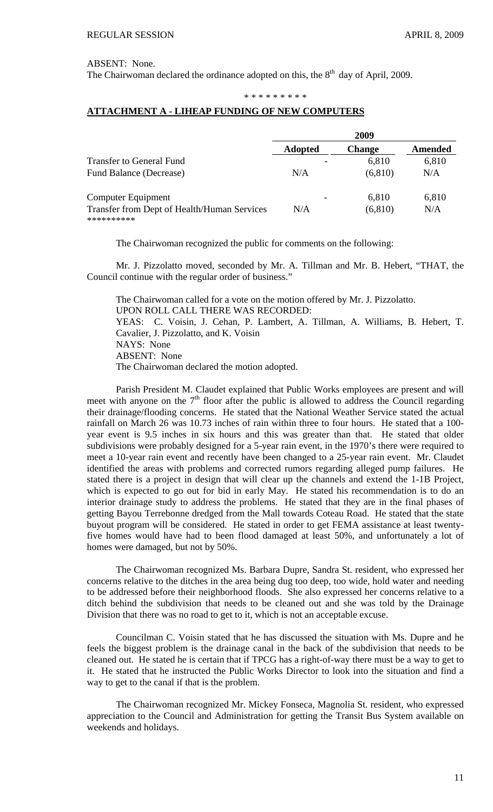ABSENT: None.

The Chairwoman declared the ordinance adopted on this, the  $8<sup>th</sup>$  day of April, 2009.

#### \* \* \* \* \* \* \* \* \*

# **ATTACHMENT A - LIHEAP FUNDING OF NEW COMPUTERS**

|                                                           | 2009           |               |         |
|-----------------------------------------------------------|----------------|---------------|---------|
|                                                           | <b>Adopted</b> | <b>Change</b> | Amended |
| <b>Transfer to General Fund</b>                           |                | 6,810         | 6,810   |
| Fund Balance (Decrease)                                   | N/A            | (6, 810)      | N/A     |
| Computer Equipment                                        |                | 6,810         | 6,810   |
| Transfer from Dept of Health/Human Services<br>********** | N/A            | (6, 810)      | N/A     |

The Chairwoman recognized the public for comments on the following:

 Mr. J. Pizzolatto moved, seconded by Mr. A. Tillman and Mr. B. Hebert, "THAT, the Council continue with the regular order of business."

 The Chairwoman called for a vote on the motion offered by Mr. J. Pizzolatto. UPON ROLL CALL THERE WAS RECORDED: YEAS: C. Voisin, J. Cehan, P. Lambert, A. Tillman, A. Williams, B. Hebert, T. Cavalier, J. Pizzolatto, and K. Voisin NAYS: None ABSENT: None The Chairwoman declared the motion adopted.

Parish President M. Claudet explained that Public Works employees are present and will meet with anyone on the  $7<sup>th</sup>$  floor after the public is allowed to address the Council regarding their drainage/flooding concerns. He stated that the National Weather Service stated the actual rainfall on March 26 was 10.73 inches of rain within three to four hours. He stated that a 100 year event is 9.5 inches in six hours and this was greater than that. He stated that older subdivisions were probably designed for a 5-year rain event, in the 1970's there were required to meet a 10-year rain event and recently have been changed to a 25-year rain event. Mr. Claudet identified the areas with problems and corrected rumors regarding alleged pump failures. He stated there is a project in design that will clear up the channels and extend the 1-1B Project, which is expected to go out for bid in early May. He stated his recommendation is to do an interior drainage study to address the problems. He stated that they are in the final phases of getting Bayou Terrebonne dredged from the Mall towards Coteau Road. He stated that the state buyout program will be considered. He stated in order to get FEMA assistance at least twentyfive homes would have had to been flood damaged at least 50%, and unfortunately a lot of homes were damaged, but not by 50%.

The Chairwoman recognized Ms. Barbara Dupre, Sandra St. resident, who expressed her concerns relative to the ditches in the area being dug too deep, too wide, hold water and needing to be addressed before their neighborhood floods. She also expressed her concerns relative to a ditch behind the subdivision that needs to be cleaned out and she was told by the Drainage Division that there was no road to get to it, which is not an acceptable excuse.

Councilman C. Voisin stated that he has discussed the situation with Ms. Dupre and he feels the biggest problem is the drainage canal in the back of the subdivision that needs to be cleaned out. He stated he is certain that if TPCG has a right-of-way there must be a way to get to it. He stated that he instructed the Public Works Director to look into the situation and find a way to get to the canal if that is the problem.

The Chairwoman recognized Mr. Mickey Fonseca, Magnolia St. resident, who expressed appreciation to the Council and Administration for getting the Transit Bus System available on weekends and holidays.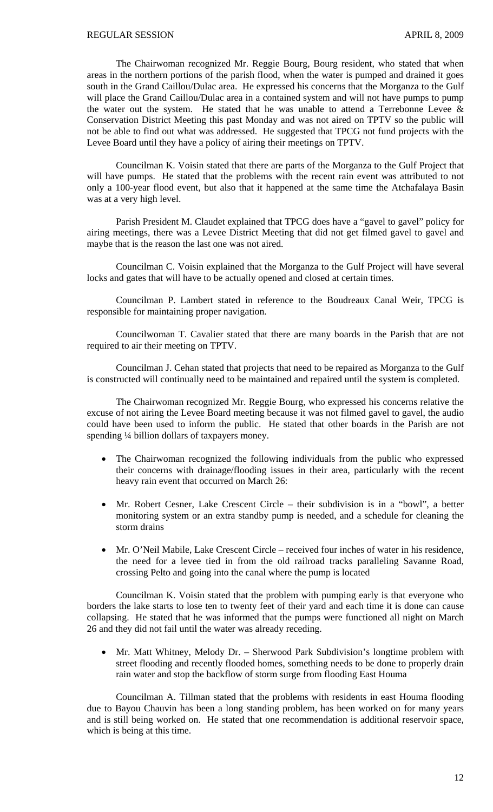The Chairwoman recognized Mr. Reggie Bourg, Bourg resident, who stated that when areas in the northern portions of the parish flood, when the water is pumped and drained it goes south in the Grand Caillou/Dulac area. He expressed his concerns that the Morganza to the Gulf will place the Grand Caillou/Dulac area in a contained system and will not have pumps to pump the water out the system. He stated that he was unable to attend a Terrebonne Levee & Conservation District Meeting this past Monday and was not aired on TPTV so the public will not be able to find out what was addressed. He suggested that TPCG not fund projects with the Levee Board until they have a policy of airing their meetings on TPTV.

Councilman K. Voisin stated that there are parts of the Morganza to the Gulf Project that will have pumps. He stated that the problems with the recent rain event was attributed to not only a 100-year flood event, but also that it happened at the same time the Atchafalaya Basin was at a very high level.

Parish President M. Claudet explained that TPCG does have a "gavel to gavel" policy for airing meetings, there was a Levee District Meeting that did not get filmed gavel to gavel and maybe that is the reason the last one was not aired.

Councilman C. Voisin explained that the Morganza to the Gulf Project will have several locks and gates that will have to be actually opened and closed at certain times.

Councilman P. Lambert stated in reference to the Boudreaux Canal Weir, TPCG is responsible for maintaining proper navigation.

Councilwoman T. Cavalier stated that there are many boards in the Parish that are not required to air their meeting on TPTV.

Councilman J. Cehan stated that projects that need to be repaired as Morganza to the Gulf is constructed will continually need to be maintained and repaired until the system is completed.

The Chairwoman recognized Mr. Reggie Bourg, who expressed his concerns relative the excuse of not airing the Levee Board meeting because it was not filmed gavel to gavel, the audio could have been used to inform the public. He stated that other boards in the Parish are not spending ¼ billion dollars of taxpayers money.

- The Chairwoman recognized the following individuals from the public who expressed their concerns with drainage/flooding issues in their area, particularly with the recent heavy rain event that occurred on March 26:
- Mr. Robert Cesner, Lake Crescent Circle their subdivision is in a "bowl", a better monitoring system or an extra standby pump is needed, and a schedule for cleaning the storm drains
- Mr. O'Neil Mabile, Lake Crescent Circle received four inches of water in his residence, the need for a levee tied in from the old railroad tracks paralleling Savanne Road, crossing Pelto and going into the canal where the pump is located

 Councilman K. Voisin stated that the problem with pumping early is that everyone who borders the lake starts to lose ten to twenty feet of their yard and each time it is done can cause collapsing. He stated that he was informed that the pumps were functioned all night on March 26 and they did not fail until the water was already receding.

• Mr. Matt Whitney, Melody Dr. – Sherwood Park Subdivision's longtime problem with street flooding and recently flooded homes, something needs to be done to properly drain rain water and stop the backflow of storm surge from flooding East Houma

 Councilman A. Tillman stated that the problems with residents in east Houma flooding due to Bayou Chauvin has been a long standing problem, has been worked on for many years and is still being worked on. He stated that one recommendation is additional reservoir space, which is being at this time.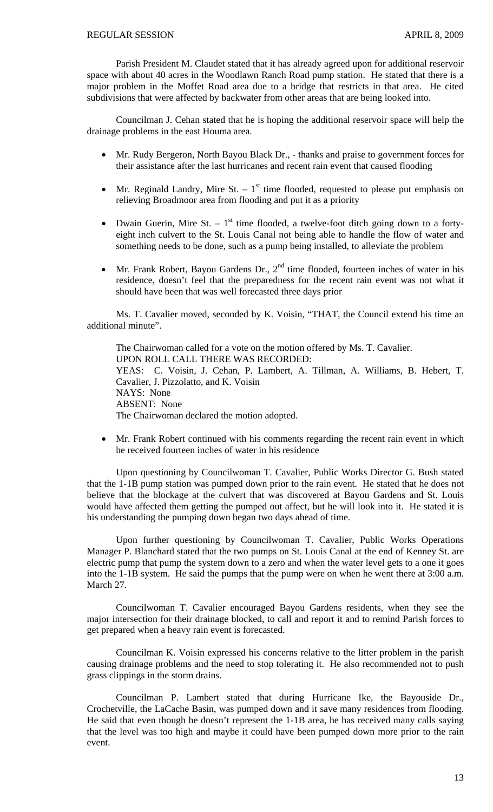Parish President M. Claudet stated that it has already agreed upon for additional reservoir space with about 40 acres in the Woodlawn Ranch Road pump station. He stated that there is a major problem in the Moffet Road area due to a bridge that restricts in that area. He cited subdivisions that were affected by backwater from other areas that are being looked into.

 Councilman J. Cehan stated that he is hoping the additional reservoir space will help the drainage problems in the east Houma area.

- Mr. Rudy Bergeron, North Bayou Black Dr., thanks and praise to government forces for their assistance after the last hurricanes and recent rain event that caused flooding
- Mr. Reginald Landry, Mire St.  $-1<sup>st</sup>$  time flooded, requested to please put emphasis on relieving Broadmoor area from flooding and put it as a priority
- Dwain Guerin, Mire St.  $-1<sup>st</sup>$  time flooded, a twelve-foot ditch going down to a fortyeight inch culvert to the St. Louis Canal not being able to handle the flow of water and something needs to be done, such as a pump being installed, to alleviate the problem
- Mr. Frank Robert, Bayou Gardens Dr.,  $2<sup>nd</sup>$  time flooded, fourteen inches of water in his residence, doesn't feel that the preparedness for the recent rain event was not what it should have been that was well forecasted three days prior

 Ms. T. Cavalier moved, seconded by K. Voisin, "THAT, the Council extend his time an additional minute".

 The Chairwoman called for a vote on the motion offered by Ms. T. Cavalier. UPON ROLL CALL THERE WAS RECORDED: YEAS: C. Voisin, J. Cehan, P. Lambert, A. Tillman, A. Williams, B. Hebert, T. Cavalier, J. Pizzolatto, and K. Voisin NAYS: None ABSENT: None The Chairwoman declared the motion adopted.

• Mr. Frank Robert continued with his comments regarding the recent rain event in which he received fourteen inches of water in his residence

 Upon questioning by Councilwoman T. Cavalier, Public Works Director G. Bush stated that the 1-1B pump station was pumped down prior to the rain event. He stated that he does not believe that the blockage at the culvert that was discovered at Bayou Gardens and St. Louis would have affected them getting the pumped out affect, but he will look into it. He stated it is his understanding the pumping down began two days ahead of time.

 Upon further questioning by Councilwoman T. Cavalier, Public Works Operations Manager P. Blanchard stated that the two pumps on St. Louis Canal at the end of Kenney St. are electric pump that pump the system down to a zero and when the water level gets to a one it goes into the 1-1B system. He said the pumps that the pump were on when he went there at 3:00 a.m. March 27.

 Councilwoman T. Cavalier encouraged Bayou Gardens residents, when they see the major intersection for their drainage blocked, to call and report it and to remind Parish forces to get prepared when a heavy rain event is forecasted.

Councilman K. Voisin expressed his concerns relative to the litter problem in the parish causing drainage problems and the need to stop tolerating it. He also recommended not to push grass clippings in the storm drains.

Councilman P. Lambert stated that during Hurricane Ike, the Bayouside Dr., Crochetville, the LaCache Basin, was pumped down and it save many residences from flooding. He said that even though he doesn't represent the 1-1B area, he has received many calls saying that the level was too high and maybe it could have been pumped down more prior to the rain event.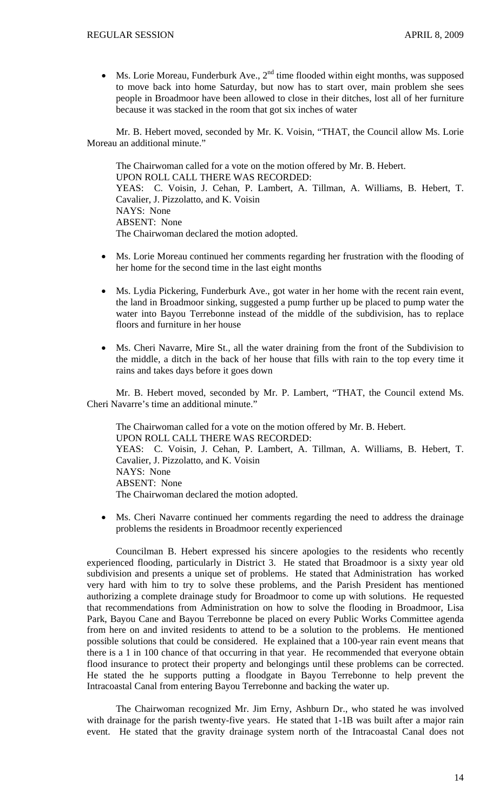• Ms. Lorie Moreau, Funderburk Ave.,  $2<sup>nd</sup>$  time flooded within eight months, was supposed to move back into home Saturday, but now has to start over, main problem she sees people in Broadmoor have been allowed to close in their ditches, lost all of her furniture because it was stacked in the room that got six inches of water

Mr. B. Hebert moved, seconded by Mr. K. Voisin, "THAT, the Council allow Ms. Lorie Moreau an additional minute."

The Chairwoman called for a vote on the motion offered by Mr. B. Hebert. UPON ROLL CALL THERE WAS RECORDED: YEAS: C. Voisin, J. Cehan, P. Lambert, A. Tillman, A. Williams, B. Hebert, T. Cavalier, J. Pizzolatto, and K. Voisin NAYS: None ABSENT: None The Chairwoman declared the motion adopted.

- Ms. Lorie Moreau continued her comments regarding her frustration with the flooding of her home for the second time in the last eight months
- Ms. Lydia Pickering, Funderburk Ave., got water in her home with the recent rain event, the land in Broadmoor sinking, suggested a pump further up be placed to pump water the water into Bayou Terrebonne instead of the middle of the subdivision, has to replace floors and furniture in her house
- Ms. Cheri Navarre, Mire St., all the water draining from the front of the Subdivision to the middle, a ditch in the back of her house that fills with rain to the top every time it rains and takes days before it goes down

Mr. B. Hebert moved, seconded by Mr. P. Lambert, "THAT, the Council extend Ms. Cheri Navarre's time an additional minute."

The Chairwoman called for a vote on the motion offered by Mr. B. Hebert. UPON ROLL CALL THERE WAS RECORDED: YEAS: C. Voisin, J. Cehan, P. Lambert, A. Tillman, A. Williams, B. Hebert, T. Cavalier, J. Pizzolatto, and K. Voisin NAYS: None ABSENT: None The Chairwoman declared the motion adopted.

• Ms. Cheri Navarre continued her comments regarding the need to address the drainage problems the residents in Broadmoor recently experienced

Councilman B. Hebert expressed his sincere apologies to the residents who recently experienced flooding, particularly in District 3. He stated that Broadmoor is a sixty year old subdivision and presents a unique set of problems. He stated that Administration has worked very hard with him to try to solve these problems, and the Parish President has mentioned authorizing a complete drainage study for Broadmoor to come up with solutions. He requested that recommendations from Administration on how to solve the flooding in Broadmoor, Lisa Park, Bayou Cane and Bayou Terrebonne be placed on every Public Works Committee agenda from here on and invited residents to attend to be a solution to the problems. He mentioned possible solutions that could be considered. He explained that a 100-year rain event means that there is a 1 in 100 chance of that occurring in that year. He recommended that everyone obtain flood insurance to protect their property and belongings until these problems can be corrected. He stated the he supports putting a floodgate in Bayou Terrebonne to help prevent the Intracoastal Canal from entering Bayou Terrebonne and backing the water up.

 The Chairwoman recognized Mr. Jim Erny, Ashburn Dr., who stated he was involved with drainage for the parish twenty-five years. He stated that 1-1B was built after a major rain event. He stated that the gravity drainage system north of the Intracoastal Canal does not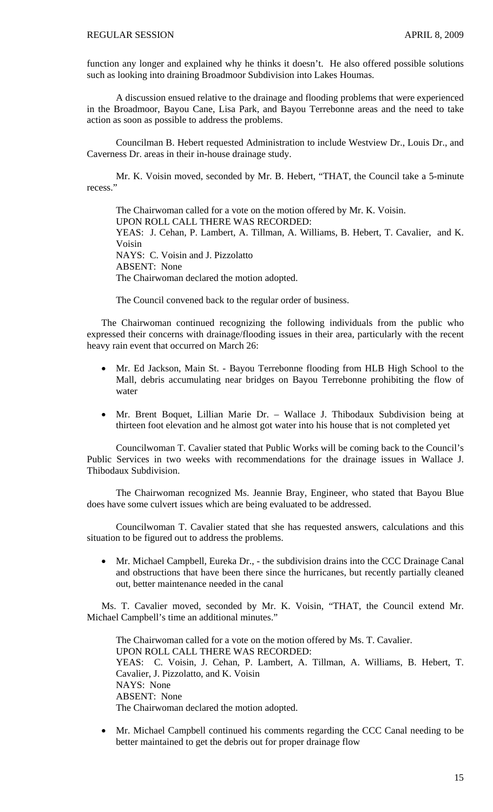function any longer and explained why he thinks it doesn't. He also offered possible solutions such as looking into draining Broadmoor Subdivision into Lakes Houmas.

 A discussion ensued relative to the drainage and flooding problems that were experienced in the Broadmoor, Bayou Cane, Lisa Park, and Bayou Terrebonne areas and the need to take action as soon as possible to address the problems.

 Councilman B. Hebert requested Administration to include Westview Dr., Louis Dr., and Caverness Dr. areas in their in-house drainage study.

 Mr. K. Voisin moved, seconded by Mr. B. Hebert, "THAT, the Council take a 5-minute recess."

 The Chairwoman called for a vote on the motion offered by Mr. K. Voisin. UPON ROLL CALL THERE WAS RECORDED: YEAS: J. Cehan, P. Lambert, A. Tillman, A. Williams, B. Hebert, T. Cavalier, and K. Voisin NAYS: C. Voisin and J. Pizzolatto ABSENT: None The Chairwoman declared the motion adopted.

The Council convened back to the regular order of business.

 The Chairwoman continued recognizing the following individuals from the public who expressed their concerns with drainage/flooding issues in their area, particularly with the recent heavy rain event that occurred on March 26:

- Mr. Ed Jackson, Main St. Bayou Terrebonne flooding from HLB High School to the Mall, debris accumulating near bridges on Bayou Terrebonne prohibiting the flow of water
- Mr. Brent Boquet, Lillian Marie Dr. Wallace J. Thibodaux Subdivision being at thirteen foot elevation and he almost got water into his house that is not completed yet

 Councilwoman T. Cavalier stated that Public Works will be coming back to the Council's Public Services in two weeks with recommendations for the drainage issues in Wallace J. Thibodaux Subdivision.

 The Chairwoman recognized Ms. Jeannie Bray, Engineer, who stated that Bayou Blue does have some culvert issues which are being evaluated to be addressed.

 Councilwoman T. Cavalier stated that she has requested answers, calculations and this situation to be figured out to address the problems.

• Mr. Michael Campbell, Eureka Dr., - the subdivision drains into the CCC Drainage Canal and obstructions that have been there since the hurricanes, but recently partially cleaned out, better maintenance needed in the canal

 Ms. T. Cavalier moved, seconded by Mr. K. Voisin, "THAT, the Council extend Mr. Michael Campbell's time an additional minutes."

The Chairwoman called for a vote on the motion offered by Ms. T. Cavalier. UPON ROLL CALL THERE WAS RECORDED: YEAS: C. Voisin, J. Cehan, P. Lambert, A. Tillman, A. Williams, B. Hebert, T. Cavalier, J. Pizzolatto, and K. Voisin NAYS: None ABSENT: None The Chairwoman declared the motion adopted.

• Mr. Michael Campbell continued his comments regarding the CCC Canal needing to be better maintained to get the debris out for proper drainage flow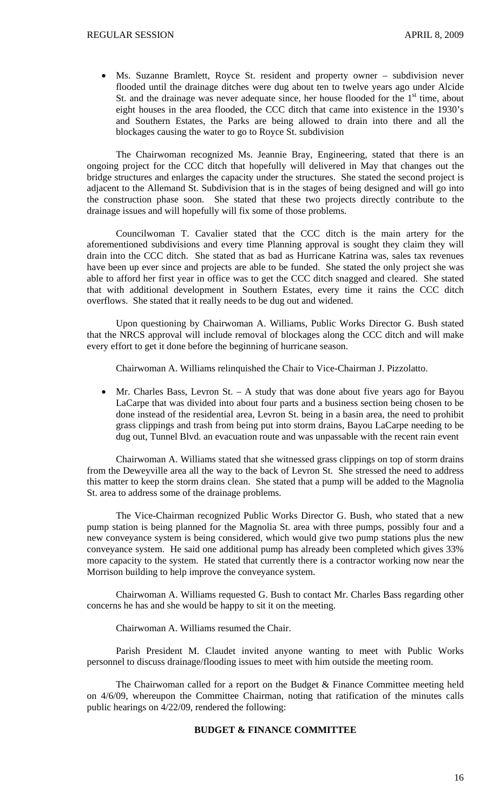• Ms. Suzanne Bramlett, Royce St. resident and property owner – subdivision never flooded until the drainage ditches were dug about ten to twelve years ago under Alcide St. and the drainage was never adequate since, her house flooded for the  $1<sup>st</sup>$  time, about eight houses in the area flooded, the CCC ditch that came into existence in the 1930's and Southern Estates, the Parks are being allowed to drain into there and all the blockages causing the water to go to Royce St. subdivision

The Chairwoman recognized Ms. Jeannie Bray, Engineering, stated that there is an ongoing project for the CCC ditch that hopefully will delivered in May that changes out the bridge structures and enlarges the capacity under the structures. She stated the second project is adjacent to the Allemand St. Subdivision that is in the stages of being designed and will go into the construction phase soon. She stated that these two projects directly contribute to the drainage issues and will hopefully will fix some of those problems.

Councilwoman T. Cavalier stated that the CCC ditch is the main artery for the aforementioned subdivisions and every time Planning approval is sought they claim they will drain into the CCC ditch. She stated that as bad as Hurricane Katrina was, sales tax revenues have been up ever since and projects are able to be funded. She stated the only project she was able to afford her first year in office was to get the CCC ditch snagged and cleared. She stated that with additional development in Southern Estates, every time it rains the CCC ditch overflows. She stated that it really needs to be dug out and widened.

Upon questioning by Chairwoman A. Williams, Public Works Director G. Bush stated that the NRCS approval will include removal of blockages along the CCC ditch and will make every effort to get it done before the beginning of hurricane season.

Chairwoman A. Williams relinquished the Chair to Vice-Chairman J. Pizzolatto.

• Mr. Charles Bass, Levron St. – A study that was done about five years ago for Bayou LaCarpe that was divided into about four parts and a business section being chosen to be done instead of the residential area, Levron St. being in a basin area, the need to prohibit grass clippings and trash from being put into storm drains, Bayou LaCarpe needing to be dug out, Tunnel Blvd. an evacuation route and was unpassable with the recent rain event

 Chairwoman A. Williams stated that she witnessed grass clippings on top of storm drains from the Deweyville area all the way to the back of Levron St. She stressed the need to address this matter to keep the storm drains clean. She stated that a pump will be added to the Magnolia St. area to address some of the drainage problems.

 The Vice-Chairman recognized Public Works Director G. Bush, who stated that a new pump station is being planned for the Magnolia St. area with three pumps, possibly four and a new conveyance system is being considered, which would give two pump stations plus the new conveyance system. He said one additional pump has already been completed which gives 33% more capacity to the system. He stated that currently there is a contractor working now near the Morrison building to help improve the conveyance system.

 Chairwoman A. Williams requested G. Bush to contact Mr. Charles Bass regarding other concerns he has and she would be happy to sit it on the meeting.

Chairwoman A. Williams resumed the Chair.

 Parish President M. Claudet invited anyone wanting to meet with Public Works personnel to discuss drainage/flooding issues to meet with him outside the meeting room.

 The Chairwoman called for a report on the Budget & Finance Committee meeting held on 4/6/09, whereupon the Committee Chairman, noting that ratification of the minutes calls public hearings on 4/22/09, rendered the following:

# **BUDGET & FINANCE COMMITTEE**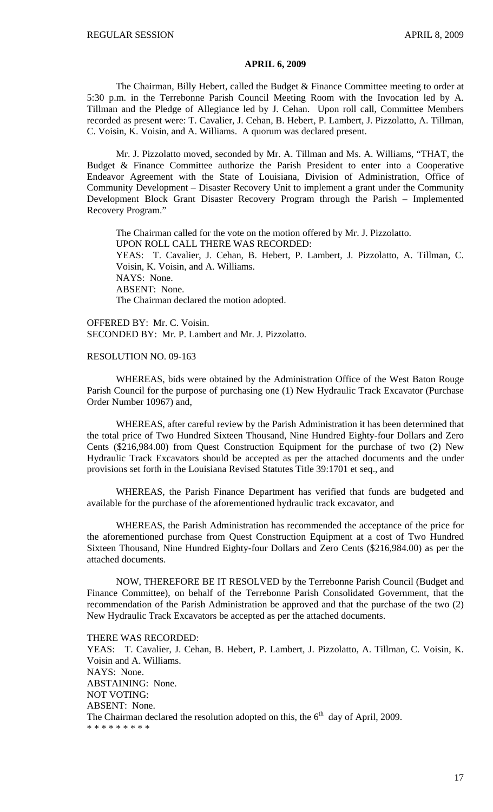#### **APRIL 6, 2009**

 The Chairman, Billy Hebert, called the Budget & Finance Committee meeting to order at 5:30 p.m. in the Terrebonne Parish Council Meeting Room with the Invocation led by A. Tillman and the Pledge of Allegiance led by J. Cehan. Upon roll call, Committee Members recorded as present were: T. Cavalier, J. Cehan, B. Hebert, P. Lambert, J. Pizzolatto, A. Tillman, C. Voisin, K. Voisin, and A. Williams. A quorum was declared present.

 Mr. J. Pizzolatto moved, seconded by Mr. A. Tillman and Ms. A. Williams, "THAT, the Budget & Finance Committee authorize the Parish President to enter into a Cooperative Endeavor Agreement with the State of Louisiana, Division of Administration, Office of Community Development – Disaster Recovery Unit to implement a grant under the Community Development Block Grant Disaster Recovery Program through the Parish – Implemented Recovery Program."

 The Chairman called for the vote on the motion offered by Mr. J. Pizzolatto. UPON ROLL CALL THERE WAS RECORDED: YEAS: T. Cavalier, J. Cehan, B. Hebert, P. Lambert, J. Pizzolatto, A. Tillman, C. Voisin, K. Voisin, and A. Williams. NAYS: None. ABSENT: None. The Chairman declared the motion adopted.

OFFERED BY: Mr. C. Voisin. SECONDED BY: Mr. P. Lambert and Mr. J. Pizzolatto.

#### RESOLUTION NO. 09-163

 WHEREAS, bids were obtained by the Administration Office of the West Baton Rouge Parish Council for the purpose of purchasing one (1) New Hydraulic Track Excavator (Purchase Order Number 10967) and,

 WHEREAS, after careful review by the Parish Administration it has been determined that the total price of Two Hundred Sixteen Thousand, Nine Hundred Eighty-four Dollars and Zero Cents (\$216,984.00) from Quest Construction Equipment for the purchase of two (2) New Hydraulic Track Excavators should be accepted as per the attached documents and the under provisions set forth in the Louisiana Revised Statutes Title 39:1701 et seq., and

 WHEREAS, the Parish Finance Department has verified that funds are budgeted and available for the purchase of the aforementioned hydraulic track excavator, and

 WHEREAS, the Parish Administration has recommended the acceptance of the price for the aforementioned purchase from Quest Construction Equipment at a cost of Two Hundred Sixteen Thousand, Nine Hundred Eighty-four Dollars and Zero Cents (\$216,984.00) as per the attached documents.

 NOW, THEREFORE BE IT RESOLVED by the Terrebonne Parish Council (Budget and Finance Committee), on behalf of the Terrebonne Parish Consolidated Government, that the recommendation of the Parish Administration be approved and that the purchase of the two (2) New Hydraulic Track Excavators be accepted as per the attached documents.

THERE WAS RECORDED:

YEAS: T. Cavalier, J. Cehan, B. Hebert, P. Lambert, J. Pizzolatto, A. Tillman, C. Voisin, K. Voisin and A. Williams. NAYS: None. ABSTAINING: None. NOT VOTING: ABSENT: None. The Chairman declared the resolution adopted on this, the  $6<sup>th</sup>$  day of April, 2009. \* \* \* \* \* \* \* \* \*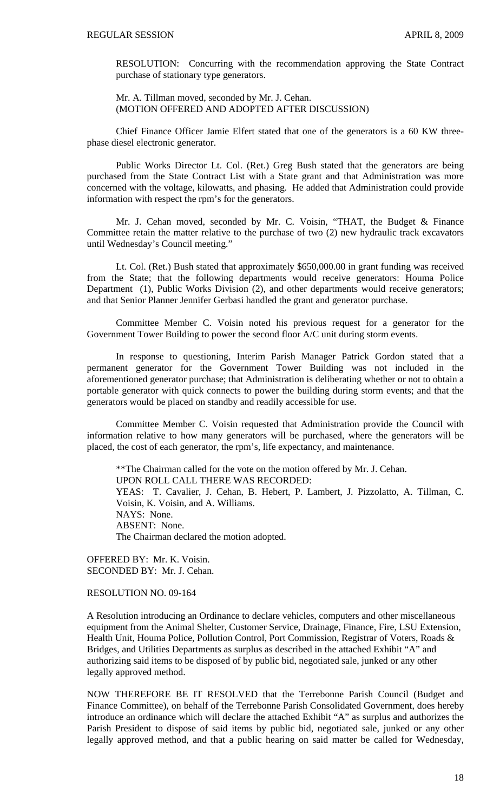RESOLUTION: Concurring with the recommendation approving the State Contract purchase of stationary type generators.

Mr. A. Tillman moved, seconded by Mr. J. Cehan. (MOTION OFFERED AND ADOPTED AFTER DISCUSSION)

 Chief Finance Officer Jamie Elfert stated that one of the generators is a 60 KW threephase diesel electronic generator.

 Public Works Director Lt. Col. (Ret.) Greg Bush stated that the generators are being purchased from the State Contract List with a State grant and that Administration was more concerned with the voltage, kilowatts, and phasing. He added that Administration could provide information with respect the rpm's for the generators.

 Mr. J. Cehan moved, seconded by Mr. C. Voisin, "THAT, the Budget & Finance Committee retain the matter relative to the purchase of two (2) new hydraulic track excavators until Wednesday's Council meeting."

 Lt. Col. (Ret.) Bush stated that approximately \$650,000.00 in grant funding was received from the State; that the following departments would receive generators: Houma Police Department (1), Public Works Division (2), and other departments would receive generators; and that Senior Planner Jennifer Gerbasi handled the grant and generator purchase.

 Committee Member C. Voisin noted his previous request for a generator for the Government Tower Building to power the second floor A/C unit during storm events.

 In response to questioning, Interim Parish Manager Patrick Gordon stated that a permanent generator for the Government Tower Building was not included in the aforementioned generator purchase; that Administration is deliberating whether or not to obtain a portable generator with quick connects to power the building during storm events; and that the generators would be placed on standby and readily accessible for use.

 Committee Member C. Voisin requested that Administration provide the Council with information relative to how many generators will be purchased, where the generators will be placed, the cost of each generator, the rpm's, life expectancy, and maintenance.

\*\*The Chairman called for the vote on the motion offered by Mr. J. Cehan. UPON ROLL CALL THERE WAS RECORDED: YEAS: T. Cavalier, J. Cehan, B. Hebert, P. Lambert, J. Pizzolatto, A. Tillman, C. Voisin, K. Voisin, and A. Williams. NAYS: None. ABSENT: None. The Chairman declared the motion adopted.

OFFERED BY: Mr. K. Voisin. SECONDED BY: Mr. J. Cehan.

RESOLUTION NO. 09-164

A Resolution introducing an Ordinance to declare vehicles, computers and other miscellaneous equipment from the Animal Shelter, Customer Service, Drainage, Finance, Fire, LSU Extension, Health Unit, Houma Police, Pollution Control, Port Commission, Registrar of Voters, Roads & Bridges, and Utilities Departments as surplus as described in the attached Exhibit "A" and authorizing said items to be disposed of by public bid, negotiated sale, junked or any other legally approved method.

NOW THEREFORE BE IT RESOLVED that the Terrebonne Parish Council (Budget and Finance Committee), on behalf of the Terrebonne Parish Consolidated Government, does hereby introduce an ordinance which will declare the attached Exhibit "A" as surplus and authorizes the Parish President to dispose of said items by public bid, negotiated sale, junked or any other legally approved method, and that a public hearing on said matter be called for Wednesday,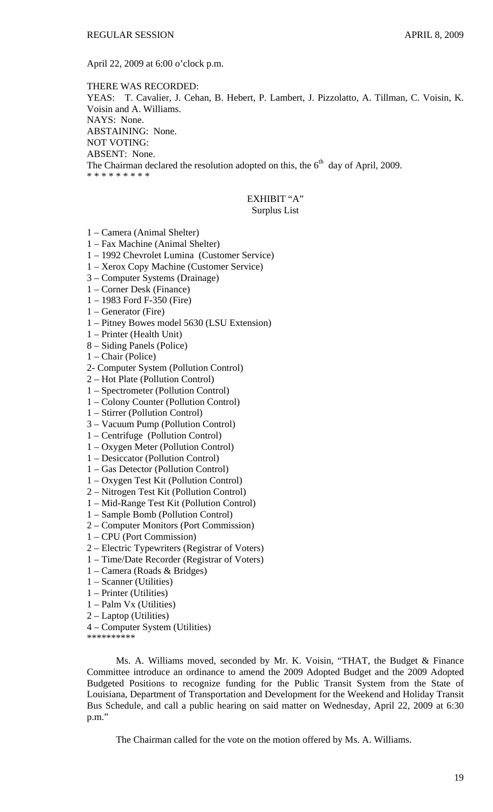April 22, 2009 at 6:00 o'clock p.m.

THERE WAS RECORDED: YEAS: T. Cavalier, J. Cehan, B. Hebert, P. Lambert, J. Pizzolatto, A. Tillman, C. Voisin, K. Voisin and A. Williams. NAYS: None. ABSTAINING: None. NOT VOTING: ABSENT: None. The Chairman declared the resolution adopted on this, the  $6<sup>th</sup>$  day of April, 2009. \* \* \* \* \* \* \* \* \*

## EXHIBIT "A" Surplus List

- 1 Camera (Animal Shelter)
- 1 Fax Machine (Animal Shelter)
- 1 1992 Chevrolet Lumina (Customer Service)
- 1 Xerox Copy Machine (Customer Service)
- 3 Computer Systems (Drainage)
- 1 Corner Desk (Finance)
- 1 1983 Ford F-350 (Fire)
- 1 Generator (Fire)
- 1 Pitney Bowes model 5630 (LSU Extension)
- 1 Printer (Health Unit)
- 8 Siding Panels (Police)
- 1 Chair (Police)
- 2- Computer System (Pollution Control)
- 2 Hot Plate (Pollution Control)
- 1 Spectrometer (Pollution Control)
- 1 Colony Counter (Pollution Control)
- 1 Stirrer (Pollution Control)
- 3 Vacuum Pump (Pollution Control)
- 1 Centrifuge (Pollution Control)
- 1 Oxygen Meter (Pollution Control)
- 1 Desiccator (Pollution Control)
- 1 Gas Detector (Pollution Control)
- 1 Oxygen Test Kit (Pollution Control)
- 2 Nitrogen Test Kit (Pollution Control)
- 1 Mid-Range Test Kit (Pollution Control)
- 1 Sample Bomb (Pollution Control)
- 2 Computer Monitors (Port Commission)
- 1 CPU (Port Commission)
- 2 Electric Typewriters (Registrar of Voters)
- 1 Time/Date Recorder (Registrar of Voters)
- 1 Camera (Roads & Bridges)
- 1 Scanner (Utilities)
- 1 Printer (Utilities)
- 1 Palm Vx (Utilities)
- 2 Laptop (Utilities)
- 4 Computer System (Utilities)

\*\*\*\*\*\*\*\*\*\*

Ms. A. Williams moved, seconded by Mr. K. Voisin, "THAT, the Budget & Finance Committee introduce an ordinance to amend the 2009 Adopted Budget and the 2009 Adopted Budgeted Positions to recognize funding for the Public Transit System from the State of Louisiana, Department of Transportation and Development for the Weekend and Holiday Transit Bus Schedule, and call a public hearing on said matter on Wednesday, April 22, 2009 at 6:30 p.m."

The Chairman called for the vote on the motion offered by Ms. A. Williams.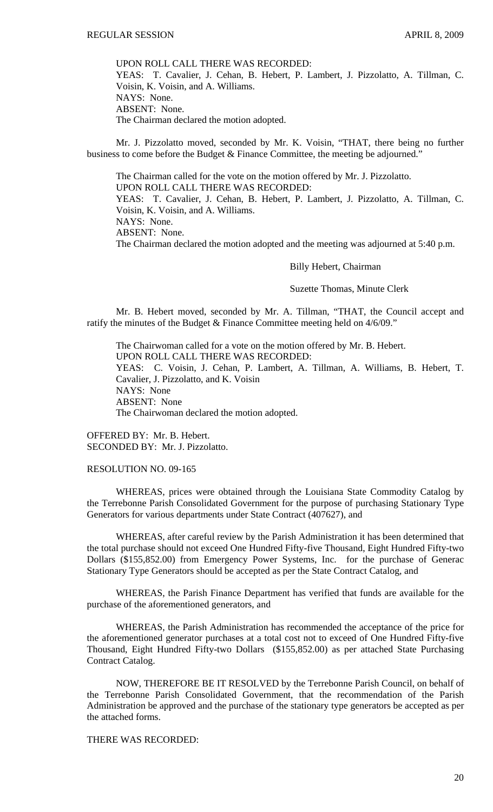UPON ROLL CALL THERE WAS RECORDED: YEAS: T. Cavalier, J. Cehan, B. Hebert, P. Lambert, J. Pizzolatto, A. Tillman, C. Voisin, K. Voisin, and A. Williams. NAYS: None. ABSENT: None. The Chairman declared the motion adopted.

 Mr. J. Pizzolatto moved, seconded by Mr. K. Voisin, "THAT, there being no further business to come before the Budget & Finance Committee, the meeting be adjourned."

 The Chairman called for the vote on the motion offered by Mr. J. Pizzolatto. UPON ROLL CALL THERE WAS RECORDED: YEAS: T. Cavalier, J. Cehan, B. Hebert, P. Lambert, J. Pizzolatto, A. Tillman, C. Voisin, K. Voisin, and A. Williams. NAYS: None. ABSENT: None. The Chairman declared the motion adopted and the meeting was adjourned at 5:40 p.m.

#### Billy Hebert, Chairman

Suzette Thomas, Minute Clerk

 Mr. B. Hebert moved, seconded by Mr. A. Tillman, "THAT, the Council accept and ratify the minutes of the Budget & Finance Committee meeting held on 4/6/09."

 The Chairwoman called for a vote on the motion offered by Mr. B. Hebert. UPON ROLL CALL THERE WAS RECORDED: YEAS: C. Voisin, J. Cehan, P. Lambert, A. Tillman, A. Williams, B. Hebert, T. Cavalier, J. Pizzolatto, and K. Voisin NAYS: None ABSENT: None The Chairwoman declared the motion adopted.

OFFERED BY: Mr. B. Hebert. SECONDED BY: Mr. J. Pizzolatto.

## RESOLUTION NO. 09-165

 WHEREAS, prices were obtained through the Louisiana State Commodity Catalog by the Terrebonne Parish Consolidated Government for the purpose of purchasing Stationary Type Generators for various departments under State Contract (407627), and

 WHEREAS, after careful review by the Parish Administration it has been determined that the total purchase should not exceed One Hundred Fifty-five Thousand, Eight Hundred Fifty-two Dollars (\$155,852.00) from Emergency Power Systems, Inc. for the purchase of Generac Stationary Type Generators should be accepted as per the State Contract Catalog, and

 WHEREAS, the Parish Finance Department has verified that funds are available for the purchase of the aforementioned generators, and

 WHEREAS, the Parish Administration has recommended the acceptance of the price for the aforementioned generator purchases at a total cost not to exceed of One Hundred Fifty-five Thousand, Eight Hundred Fifty-two Dollars (\$155,852.00) as per attached State Purchasing Contract Catalog.

 NOW, THEREFORE BE IT RESOLVED by the Terrebonne Parish Council, on behalf of the Terrebonne Parish Consolidated Government, that the recommendation of the Parish Administration be approved and the purchase of the stationary type generators be accepted as per the attached forms.

# THERE WAS RECORDED: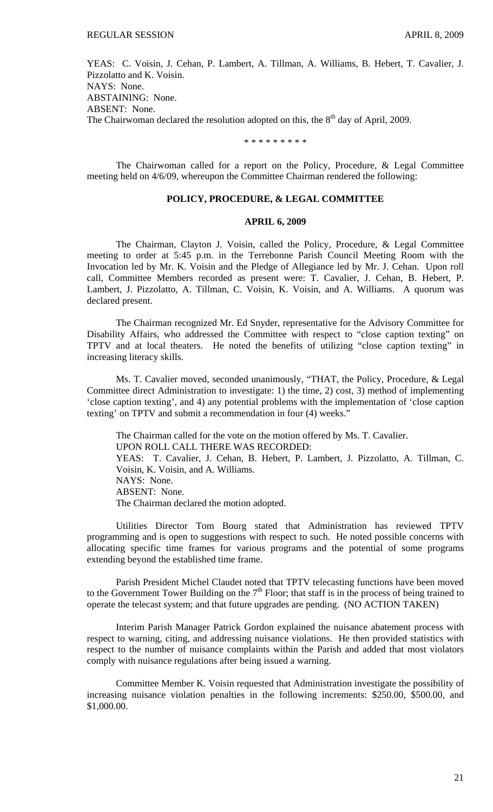YEAS: C. Voisin, J. Cehan, P. Lambert, A. Tillman, A. Williams, B. Hebert, T. Cavalier, J. Pizzolatto and K. Voisin. NAYS: None. ABSTAINING: None. ABSENT: None. The Chairwoman declared the resolution adopted on this, the 8<sup>th</sup> day of April, 2009.

\* \* \* \* \* \* \* \* \*

 The Chairwoman called for a report on the Policy, Procedure, & Legal Committee meeting held on 4/6/09, whereupon the Committee Chairman rendered the following:

# **POLICY, PROCEDURE, & LEGAL COMMITTEE**

# **APRIL 6, 2009**

 The Chairman, Clayton J. Voisin, called the Policy, Procedure, & Legal Committee meeting to order at 5:45 p.m. in the Terrebonne Parish Council Meeting Room with the Invocation led by Mr. K. Voisin and the Pledge of Allegiance led by Mr. J. Cehan. Upon roll call, Committee Members recorded as present were: T. Cavalier, J. Cehan, B. Hebert, P. Lambert, J. Pizzolatto, A. Tillman, C. Voisin, K. Voisin, and A. Williams. A quorum was declared present.

 The Chairman recognized Mr. Ed Snyder, representative for the Advisory Committee for Disability Affairs, who addressed the Committee with respect to "close caption texting" on TPTV and at local theaters. He noted the benefits of utilizing "close caption texting" in increasing literacy skills.

 Ms. T. Cavalier moved, seconded unanimously, "THAT, the Policy, Procedure, & Legal Committee direct Administration to investigate: 1) the time, 2) cost, 3) method of implementing 'close caption texting', and 4) any potential problems with the implementation of 'close caption texting' on TPTV and submit a recommendation in four (4) weeks."

 The Chairman called for the vote on the motion offered by Ms. T. Cavalier. UPON ROLL CALL THERE WAS RECORDED: YEAS: T. Cavalier, J. Cehan, B. Hebert, P. Lambert, J. Pizzolatto, A. Tillman, C. Voisin, K. Voisin, and A. Williams. NAYS: None. ABSENT: None. The Chairman declared the motion adopted.

 Utilities Director Tom Bourg stated that Administration has reviewed TPTV programming and is open to suggestions with respect to such. He noted possible concerns with allocating specific time frames for various programs and the potential of some programs extending beyond the established time frame.

 Parish President Michel Claudet noted that TPTV telecasting functions have been moved to the Government Tower Building on the  $7<sup>th</sup>$  Floor; that staff is in the process of being trained to operate the telecast system; and that future upgrades are pending. (NO ACTION TAKEN)

 Interim Parish Manager Patrick Gordon explained the nuisance abatement process with respect to warning, citing, and addressing nuisance violations. He then provided statistics with respect to the number of nuisance complaints within the Parish and added that most violators comply with nuisance regulations after being issued a warning.

 Committee Member K. Voisin requested that Administration investigate the possibility of increasing nuisance violation penalties in the following increments: \$250.00, \$500.00, and \$1,000.00.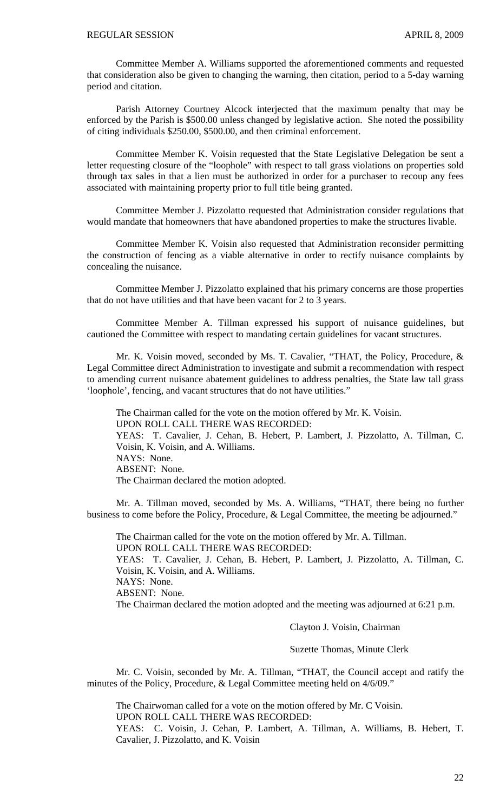Committee Member A. Williams supported the aforementioned comments and requested that consideration also be given to changing the warning, then citation, period to a 5-day warning period and citation.

 Parish Attorney Courtney Alcock interjected that the maximum penalty that may be enforced by the Parish is \$500.00 unless changed by legislative action. She noted the possibility of citing individuals \$250.00, \$500.00, and then criminal enforcement.

 Committee Member K. Voisin requested that the State Legislative Delegation be sent a letter requesting closure of the "loophole" with respect to tall grass violations on properties sold through tax sales in that a lien must be authorized in order for a purchaser to recoup any fees associated with maintaining property prior to full title being granted.

 Committee Member J. Pizzolatto requested that Administration consider regulations that would mandate that homeowners that have abandoned properties to make the structures livable.

 Committee Member K. Voisin also requested that Administration reconsider permitting the construction of fencing as a viable alternative in order to rectify nuisance complaints by concealing the nuisance.

 Committee Member J. Pizzolatto explained that his primary concerns are those properties that do not have utilities and that have been vacant for 2 to 3 years.

 Committee Member A. Tillman expressed his support of nuisance guidelines, but cautioned the Committee with respect to mandating certain guidelines for vacant structures.

 Mr. K. Voisin moved, seconded by Ms. T. Cavalier, "THAT, the Policy, Procedure, & Legal Committee direct Administration to investigate and submit a recommendation with respect to amending current nuisance abatement guidelines to address penalties, the State law tall grass 'loophole', fencing, and vacant structures that do not have utilities."

 The Chairman called for the vote on the motion offered by Mr. K. Voisin. UPON ROLL CALL THERE WAS RECORDED: YEAS: T. Cavalier, J. Cehan, B. Hebert, P. Lambert, J. Pizzolatto, A. Tillman, C. Voisin, K. Voisin, and A. Williams. NAYS: None. ABSENT: None. The Chairman declared the motion adopted.

 Mr. A. Tillman moved, seconded by Ms. A. Williams, "THAT, there being no further business to come before the Policy, Procedure, & Legal Committee, the meeting be adjourned."

 The Chairman called for the vote on the motion offered by Mr. A. Tillman. UPON ROLL CALL THERE WAS RECORDED: YEAS: T. Cavalier, J. Cehan, B. Hebert, P. Lambert, J. Pizzolatto, A. Tillman, C. Voisin, K. Voisin, and A. Williams. NAYS: None. ABSENT: None. The Chairman declared the motion adopted and the meeting was adjourned at 6:21 p.m.

Clayton J. Voisin, Chairman

Suzette Thomas, Minute Clerk

Mr. C. Voisin, seconded by Mr. A. Tillman, "THAT, the Council accept and ratify the minutes of the Policy, Procedure, & Legal Committee meeting held on 4/6/09."

 The Chairwoman called for a vote on the motion offered by Mr. C Voisin. UPON ROLL CALL THERE WAS RECORDED:

YEAS: C. Voisin, J. Cehan, P. Lambert, A. Tillman, A. Williams, B. Hebert, T. Cavalier, J. Pizzolatto, and K. Voisin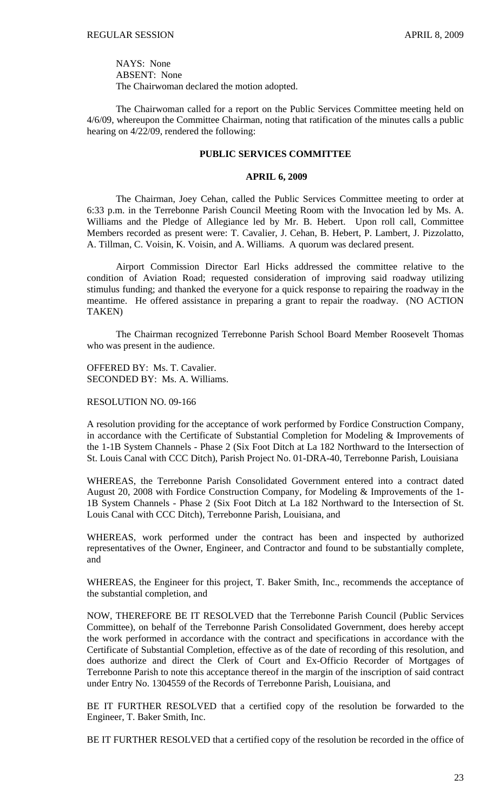NAYS: None ABSENT: None The Chairwoman declared the motion adopted.

 The Chairwoman called for a report on the Public Services Committee meeting held on 4/6/09, whereupon the Committee Chairman, noting that ratification of the minutes calls a public hearing on 4/22/09, rendered the following:

### **PUBLIC SERVICES COMMITTEE**

## **APRIL 6, 2009**

 The Chairman, Joey Cehan, called the Public Services Committee meeting to order at 6:33 p.m. in the Terrebonne Parish Council Meeting Room with the Invocation led by Ms. A. Williams and the Pledge of Allegiance led by Mr. B. Hebert. Upon roll call, Committee Members recorded as present were: T. Cavalier, J. Cehan, B. Hebert, P. Lambert, J. Pizzolatto, A. Tillman, C. Voisin, K. Voisin, and A. Williams. A quorum was declared present.

 Airport Commission Director Earl Hicks addressed the committee relative to the condition of Aviation Road; requested consideration of improving said roadway utilizing stimulus funding; and thanked the everyone for a quick response to repairing the roadway in the meantime. He offered assistance in preparing a grant to repair the roadway. (NO ACTION TAKEN)

 The Chairman recognized Terrebonne Parish School Board Member Roosevelt Thomas who was present in the audience.

OFFERED BY: Ms. T. Cavalier. SECONDED BY: Ms. A. Williams.

RESOLUTION NO. 09-166

A resolution providing for the acceptance of work performed by Fordice Construction Company, in accordance with the Certificate of Substantial Completion for Modeling & Improvements of the 1-1B System Channels - Phase 2 (Six Foot Ditch at La 182 Northward to the Intersection of St. Louis Canal with CCC Ditch), Parish Project No. 01-DRA-40, Terrebonne Parish, Louisiana

WHEREAS, the Terrebonne Parish Consolidated Government entered into a contract dated August 20, 2008 with Fordice Construction Company, for Modeling & Improvements of the 1- 1B System Channels - Phase 2 (Six Foot Ditch at La 182 Northward to the Intersection of St. Louis Canal with CCC Ditch), Terrebonne Parish, Louisiana, and

WHEREAS, work performed under the contract has been and inspected by authorized representatives of the Owner, Engineer, and Contractor and found to be substantially complete, and

WHEREAS, the Engineer for this project, T. Baker Smith, Inc., recommends the acceptance of the substantial completion, and

NOW, THEREFORE BE IT RESOLVED that the Terrebonne Parish Council (Public Services Committee), on behalf of the Terrebonne Parish Consolidated Government, does hereby accept the work performed in accordance with the contract and specifications in accordance with the Certificate of Substantial Completion, effective as of the date of recording of this resolution, and does authorize and direct the Clerk of Court and Ex-Officio Recorder of Mortgages of Terrebonne Parish to note this acceptance thereof in the margin of the inscription of said contract under Entry No. 1304559 of the Records of Terrebonne Parish, Louisiana, and

BE IT FURTHER RESOLVED that a certified copy of the resolution be forwarded to the Engineer, T. Baker Smith, Inc.

BE IT FURTHER RESOLVED that a certified copy of the resolution be recorded in the office of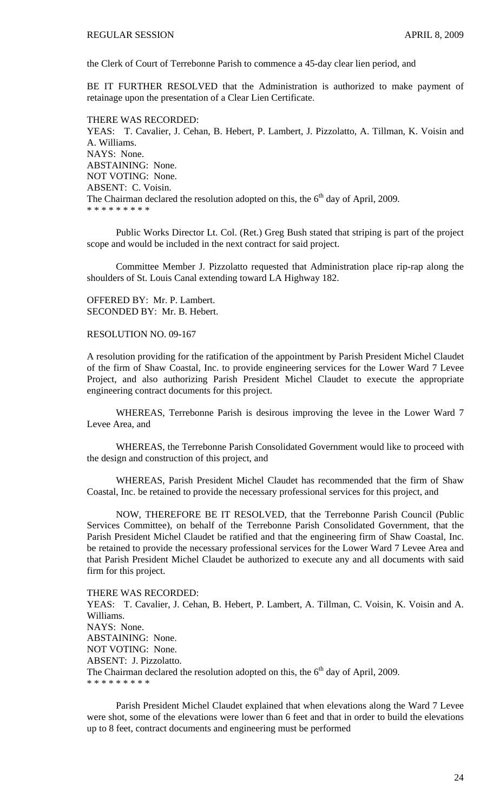the Clerk of Court of Terrebonne Parish to commence a 45-day clear lien period, and

BE IT FURTHER RESOLVED that the Administration is authorized to make payment of retainage upon the presentation of a Clear Lien Certificate.

#### THERE WAS RECORDED:

YEAS: T. Cavalier, J. Cehan, B. Hebert, P. Lambert, J. Pizzolatto, A. Tillman, K. Voisin and A. Williams. NAYS: None. ABSTAINING: None. NOT VOTING: None. ABSENT: C. Voisin. The Chairman declared the resolution adopted on this, the  $6<sup>th</sup>$  day of April, 2009. \* \* \* \* \* \* \* \* \*

 Public Works Director Lt. Col. (Ret.) Greg Bush stated that striping is part of the project scope and would be included in the next contract for said project.

 Committee Member J. Pizzolatto requested that Administration place rip-rap along the shoulders of St. Louis Canal extending toward LA Highway 182.

OFFERED BY: Mr. P. Lambert. SECONDED BY: Mr. B. Hebert.

RESOLUTION NO. 09-167

A resolution providing for the ratification of the appointment by Parish President Michel Claudet of the firm of Shaw Coastal, Inc. to provide engineering services for the Lower Ward 7 Levee Project, and also authorizing Parish President Michel Claudet to execute the appropriate engineering contract documents for this project.

WHEREAS, Terrebonne Parish is desirous improving the levee in the Lower Ward 7 Levee Area, and

WHEREAS, the Terrebonne Parish Consolidated Government would like to proceed with the design and construction of this project, and

WHEREAS, Parish President Michel Claudet has recommended that the firm of Shaw Coastal, Inc. be retained to provide the necessary professional services for this project, and

NOW, THEREFORE BE IT RESOLVED, that the Terrebonne Parish Council (Public Services Committee), on behalf of the Terrebonne Parish Consolidated Government, that the Parish President Michel Claudet be ratified and that the engineering firm of Shaw Coastal, Inc. be retained to provide the necessary professional services for the Lower Ward 7 Levee Area and that Parish President Michel Claudet be authorized to execute any and all documents with said firm for this project.

THERE WAS RECORDED: YEAS: T. Cavalier, J. Cehan, B. Hebert, P. Lambert, A. Tillman, C. Voisin, K. Voisin and A. Williams. NAYS: None. ABSTAINING: None. NOT VOTING: None. ABSENT: J. Pizzolatto. The Chairman declared the resolution adopted on this, the  $6<sup>th</sup>$  day of April, 2009. \* \* \* \* \* \* \* \* \*

 Parish President Michel Claudet explained that when elevations along the Ward 7 Levee were shot, some of the elevations were lower than 6 feet and that in order to build the elevations up to 8 feet, contract documents and engineering must be performed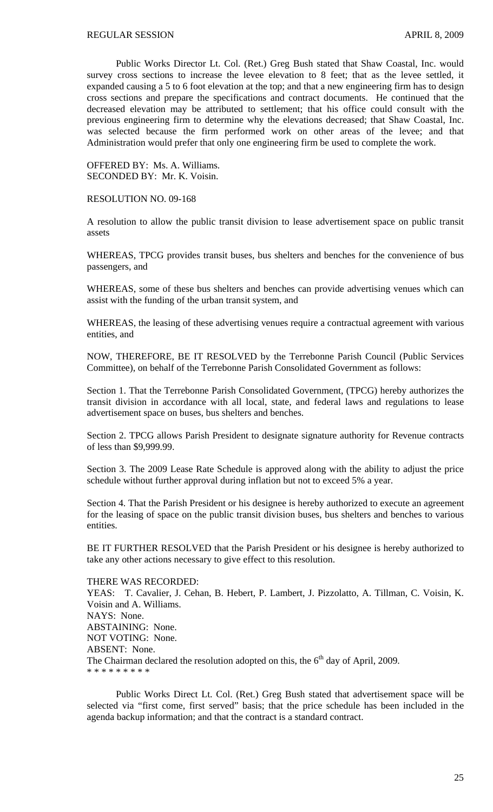Public Works Director Lt. Col. (Ret.) Greg Bush stated that Shaw Coastal, Inc. would survey cross sections to increase the levee elevation to 8 feet; that as the levee settled, it expanded causing a 5 to 6 foot elevation at the top; and that a new engineering firm has to design cross sections and prepare the specifications and contract documents. He continued that the decreased elevation may be attributed to settlement; that his office could consult with the previous engineering firm to determine why the elevations decreased; that Shaw Coastal, Inc. was selected because the firm performed work on other areas of the levee; and that Administration would prefer that only one engineering firm be used to complete the work.

OFFERED BY: Ms. A. Williams. SECONDED BY: Mr. K. Voisin.

RESOLUTION NO. 09-168

A resolution to allow the public transit division to lease advertisement space on public transit assets

WHEREAS, TPCG provides transit buses, bus shelters and benches for the convenience of bus passengers, and

WHEREAS, some of these bus shelters and benches can provide advertising venues which can assist with the funding of the urban transit system, and

WHEREAS, the leasing of these advertising venues require a contractual agreement with various entities, and

NOW, THEREFORE, BE IT RESOLVED by the Terrebonne Parish Council (Public Services Committee), on behalf of the Terrebonne Parish Consolidated Government as follows:

Section 1. That the Terrebonne Parish Consolidated Government, (TPCG) hereby authorizes the transit division in accordance with all local, state, and federal laws and regulations to lease advertisement space on buses, bus shelters and benches.

Section 2. TPCG allows Parish President to designate signature authority for Revenue contracts of less than \$9,999.99.

Section 3. The 2009 Lease Rate Schedule is approved along with the ability to adjust the price schedule without further approval during inflation but not to exceed 5% a year.

Section 4. That the Parish President or his designee is hereby authorized to execute an agreement for the leasing of space on the public transit division buses, bus shelters and benches to various entities.

BE IT FURTHER RESOLVED that the Parish President or his designee is hereby authorized to take any other actions necessary to give effect to this resolution.

THERE WAS RECORDED: YEAS: T. Cavalier, J. Cehan, B. Hebert, P. Lambert, J. Pizzolatto, A. Tillman, C. Voisin, K. Voisin and A. Williams. NAYS: None. ABSTAINING: None. NOT VOTING: None. ABSENT: None. The Chairman declared the resolution adopted on this, the  $6<sup>th</sup>$  day of April, 2009. \* \* \* \* \* \* \* \* \*

 Public Works Direct Lt. Col. (Ret.) Greg Bush stated that advertisement space will be selected via "first come, first served" basis; that the price schedule has been included in the agenda backup information; and that the contract is a standard contract.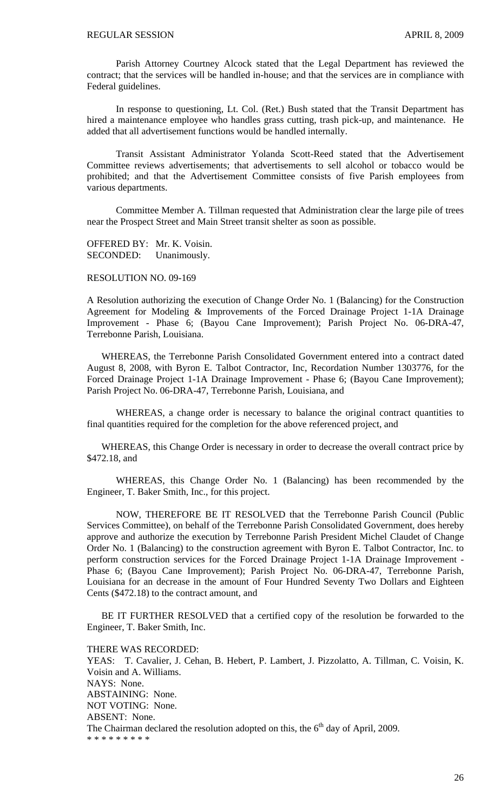Parish Attorney Courtney Alcock stated that the Legal Department has reviewed the contract; that the services will be handled in-house; and that the services are in compliance with Federal guidelines.

 In response to questioning, Lt. Col. (Ret.) Bush stated that the Transit Department has hired a maintenance employee who handles grass cutting, trash pick-up, and maintenance. He added that all advertisement functions would be handled internally.

 Transit Assistant Administrator Yolanda Scott-Reed stated that the Advertisement Committee reviews advertisements; that advertisements to sell alcohol or tobacco would be prohibited; and that the Advertisement Committee consists of five Parish employees from various departments.

 Committee Member A. Tillman requested that Administration clear the large pile of trees near the Prospect Street and Main Street transit shelter as soon as possible.

OFFERED BY: Mr. K. Voisin. SECONDED: Unanimously.

RESOLUTION NO. 09-169

A Resolution authorizing the execution of Change Order No. 1 (Balancing) for the Construction Agreement for Modeling & Improvements of the Forced Drainage Project 1-1A Drainage Improvement - Phase 6; (Bayou Cane Improvement); Parish Project No. 06-DRA-47, Terrebonne Parish, Louisiana.

 WHEREAS, the Terrebonne Parish Consolidated Government entered into a contract dated August 8, 2008, with Byron E. Talbot Contractor, Inc, Recordation Number 1303776, for the Forced Drainage Project 1-1A Drainage Improvement - Phase 6; (Bayou Cane Improvement); Parish Project No. 06-DRA-47, Terrebonne Parish, Louisiana, and

WHEREAS, a change order is necessary to balance the original contract quantities to final quantities required for the completion for the above referenced project, and

 WHEREAS, this Change Order is necessary in order to decrease the overall contract price by \$472.18, and

 WHEREAS, this Change Order No. 1 (Balancing) has been recommended by the Engineer, T. Baker Smith, Inc., for this project.

 NOW, THEREFORE BE IT RESOLVED that the Terrebonne Parish Council (Public Services Committee), on behalf of the Terrebonne Parish Consolidated Government, does hereby approve and authorize the execution by Terrebonne Parish President Michel Claudet of Change Order No. 1 (Balancing) to the construction agreement with Byron E. Talbot Contractor, Inc. to perform construction services for the Forced Drainage Project 1-1A Drainage Improvement - Phase 6; (Bayou Cane Improvement); Parish Project No. 06-DRA-47, Terrebonne Parish, Louisiana for an decrease in the amount of Four Hundred Seventy Two Dollars and Eighteen Cents (\$472.18) to the contract amount, and

 BE IT FURTHER RESOLVED that a certified copy of the resolution be forwarded to the Engineer, T. Baker Smith, Inc.

THERE WAS RECORDED:

YEAS: T. Cavalier, J. Cehan, B. Hebert, P. Lambert, J. Pizzolatto, A. Tillman, C. Voisin, K. Voisin and A. Williams. NAYS: None. ABSTAINING: None. NOT VOTING: None. ABSENT: None. The Chairman declared the resolution adopted on this, the  $6<sup>th</sup>$  day of April, 2009. \* \* \* \* \* \* \* \* \*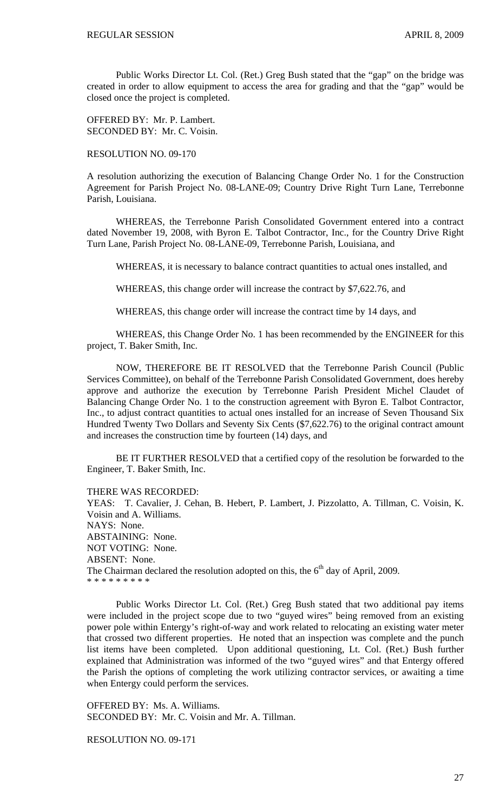Public Works Director Lt. Col. (Ret.) Greg Bush stated that the "gap" on the bridge was created in order to allow equipment to access the area for grading and that the "gap" would be closed once the project is completed.

OFFERED BY: Mr. P. Lambert. SECONDED BY: Mr. C. Voisin.

# RESOLUTION NO. 09-170

A resolution authorizing the execution of Balancing Change Order No. 1 for the Construction Agreement for Parish Project No. 08-LANE-09; Country Drive Right Turn Lane, Terrebonne Parish, Louisiana.

 WHEREAS, the Terrebonne Parish Consolidated Government entered into a contract dated November 19, 2008, with Byron E. Talbot Contractor, Inc., for the Country Drive Right Turn Lane, Parish Project No. 08-LANE-09, Terrebonne Parish, Louisiana, and

WHEREAS, it is necessary to balance contract quantities to actual ones installed, and

WHEREAS, this change order will increase the contract by \$7,622.76, and

WHEREAS, this change order will increase the contract time by 14 days, and

 WHEREAS, this Change Order No. 1 has been recommended by the ENGINEER for this project, T. Baker Smith, Inc.

 NOW, THEREFORE BE IT RESOLVED that the Terrebonne Parish Council (Public Services Committee), on behalf of the Terrebonne Parish Consolidated Government, does hereby approve and authorize the execution by Terrebonne Parish President Michel Claudet of Balancing Change Order No. 1 to the construction agreement with Byron E. Talbot Contractor, Inc., to adjust contract quantities to actual ones installed for an increase of Seven Thousand Six Hundred Twenty Two Dollars and Seventy Six Cents (\$7,622.76) to the original contract amount and increases the construction time by fourteen (14) days, and

 BE IT FURTHER RESOLVED that a certified copy of the resolution be forwarded to the Engineer, T. Baker Smith, Inc.

THERE WAS RECORDED:

YEAS: T. Cavalier, J. Cehan, B. Hebert, P. Lambert, J. Pizzolatto, A. Tillman, C. Voisin, K. Voisin and A. Williams. NAYS: None. ABSTAINING: None. NOT VOTING: None. ABSENT: None. The Chairman declared the resolution adopted on this, the  $6<sup>th</sup>$  day of April, 2009. \* \* \* \* \* \* \* \* \*

 Public Works Director Lt. Col. (Ret.) Greg Bush stated that two additional pay items were included in the project scope due to two "guyed wires" being removed from an existing power pole within Entergy's right-of-way and work related to relocating an existing water meter that crossed two different properties. He noted that an inspection was complete and the punch list items have been completed. Upon additional questioning, Lt. Col. (Ret.) Bush further explained that Administration was informed of the two "guyed wires" and that Entergy offered the Parish the options of completing the work utilizing contractor services, or awaiting a time when Entergy could perform the services.

OFFERED BY: Ms. A. Williams. SECONDED BY: Mr. C. Voisin and Mr. A. Tillman.

RESOLUTION NO. 09-171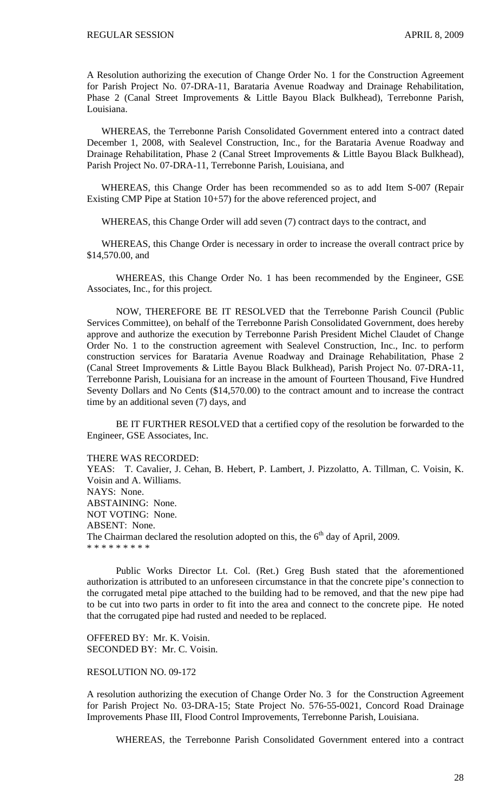A Resolution authorizing the execution of Change Order No. 1 for the Construction Agreement for Parish Project No. 07-DRA-11, Barataria Avenue Roadway and Drainage Rehabilitation, Phase 2 (Canal Street Improvements & Little Bayou Black Bulkhead), Terrebonne Parish, Louisiana.

 WHEREAS, the Terrebonne Parish Consolidated Government entered into a contract dated December 1, 2008, with Sealevel Construction, Inc., for the Barataria Avenue Roadway and Drainage Rehabilitation, Phase 2 (Canal Street Improvements & Little Bayou Black Bulkhead), Parish Project No. 07-DRA-11, Terrebonne Parish, Louisiana, and

 WHEREAS, this Change Order has been recommended so as to add Item S-007 (Repair Existing CMP Pipe at Station 10+57) for the above referenced project, and

WHEREAS, this Change Order will add seven (7) contract days to the contract, and

 WHEREAS, this Change Order is necessary in order to increase the overall contract price by \$14,570.00, and

 WHEREAS, this Change Order No. 1 has been recommended by the Engineer, GSE Associates, Inc., for this project.

 NOW, THEREFORE BE IT RESOLVED that the Terrebonne Parish Council (Public Services Committee), on behalf of the Terrebonne Parish Consolidated Government, does hereby approve and authorize the execution by Terrebonne Parish President Michel Claudet of Change Order No. 1 to the construction agreement with Sealevel Construction, Inc., Inc. to perform construction services for Barataria Avenue Roadway and Drainage Rehabilitation, Phase 2 (Canal Street Improvements & Little Bayou Black Bulkhead), Parish Project No. 07-DRA-11, Terrebonne Parish, Louisiana for an increase in the amount of Fourteen Thousand, Five Hundred Seventy Dollars and No Cents (\$14,570.00) to the contract amount and to increase the contract time by an additional seven (7) days, and

 BE IT FURTHER RESOLVED that a certified copy of the resolution be forwarded to the Engineer, GSE Associates, Inc.

#### THERE WAS RECORDED:

YEAS: T. Cavalier, J. Cehan, B. Hebert, P. Lambert, J. Pizzolatto, A. Tillman, C. Voisin, K. Voisin and A. Williams. NAYS: None. ABSTAINING: None. NOT VOTING: None. ABSENT: None. The Chairman declared the resolution adopted on this, the  $6<sup>th</sup>$  day of April, 2009. \* \* \* \* \* \* \* \* \*

Public Works Director Lt. Col. (Ret.) Greg Bush stated that the aforementioned authorization is attributed to an unforeseen circumstance in that the concrete pipe's connection to the corrugated metal pipe attached to the building had to be removed, and that the new pipe had to be cut into two parts in order to fit into the area and connect to the concrete pipe. He noted that the corrugated pipe had rusted and needed to be replaced.

OFFERED BY: Mr. K. Voisin. SECONDED BY: Mr. C. Voisin.

#### RESOLUTION NO. 09-172

A resolution authorizing the execution of Change Order No. 3 for the Construction Agreement for Parish Project No. 03-DRA-15; State Project No. 576-55-0021, Concord Road Drainage Improvements Phase III, Flood Control Improvements, Terrebonne Parish, Louisiana.

WHEREAS, the Terrebonne Parish Consolidated Government entered into a contract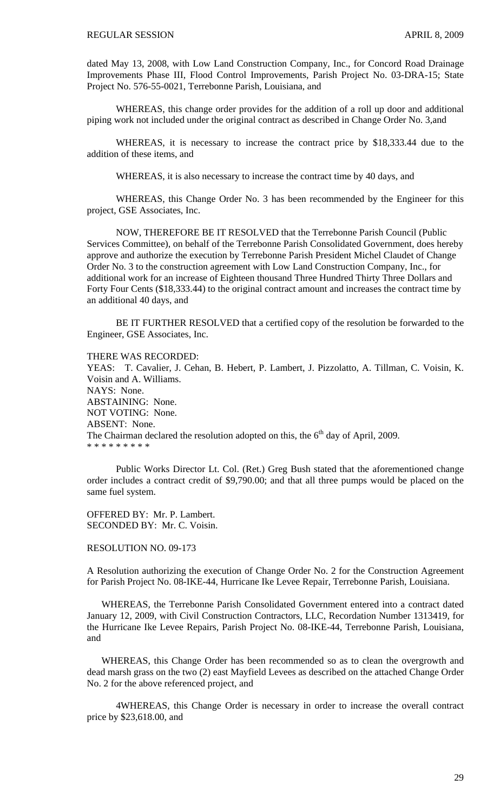dated May 13, 2008, with Low Land Construction Company, Inc., for Concord Road Drainage Improvements Phase III, Flood Control Improvements, Parish Project No. 03-DRA-15; State Project No. 576-55-0021, Terrebonne Parish, Louisiana, and

WHEREAS, this change order provides for the addition of a roll up door and additional piping work not included under the original contract as described in Change Order No. 3,and

WHEREAS, it is necessary to increase the contract price by \$18,333.44 due to the addition of these items, and

WHEREAS, it is also necessary to increase the contract time by 40 days, and

WHEREAS, this Change Order No. 3 has been recommended by the Engineer for this project, GSE Associates, Inc.

NOW, THEREFORE BE IT RESOLVED that the Terrebonne Parish Council (Public Services Committee), on behalf of the Terrebonne Parish Consolidated Government, does hereby approve and authorize the execution by Terrebonne Parish President Michel Claudet of Change Order No. 3 to the construction agreement with Low Land Construction Company, Inc., for additional work for an increase of Eighteen thousand Three Hundred Thirty Three Dollars and Forty Four Cents (\$18,333.44) to the original contract amount and increases the contract time by an additional 40 days, and

BE IT FURTHER RESOLVED that a certified copy of the resolution be forwarded to the Engineer, GSE Associates, Inc.

#### THERE WAS RECORDED:

YEAS: T. Cavalier, J. Cehan, B. Hebert, P. Lambert, J. Pizzolatto, A. Tillman, C. Voisin, K. Voisin and A. Williams. NAYS: None. ABSTAINING: None. NOT VOTING: None. ABSENT: None. The Chairman declared the resolution adopted on this, the  $6<sup>th</sup>$  day of April, 2009. \* \* \* \* \* \* \* \* \*

 Public Works Director Lt. Col. (Ret.) Greg Bush stated that the aforementioned change order includes a contract credit of \$9,790.00; and that all three pumps would be placed on the same fuel system.

OFFERED BY: Mr. P. Lambert. SECONDED BY: Mr. C. Voisin.

## RESOLUTION NO. 09-173

A Resolution authorizing the execution of Change Order No. 2 for the Construction Agreement for Parish Project No. 08-IKE-44, Hurricane Ike Levee Repair, Terrebonne Parish, Louisiana.

 WHEREAS, the Terrebonne Parish Consolidated Government entered into a contract dated January 12, 2009, with Civil Construction Contractors, LLC, Recordation Number 1313419, for the Hurricane Ike Levee Repairs, Parish Project No. 08-IKE-44, Terrebonne Parish, Louisiana, and

 WHEREAS, this Change Order has been recommended so as to clean the overgrowth and dead marsh grass on the two (2) east Mayfield Levees as described on the attached Change Order No. 2 for the above referenced project, and

 4WHEREAS, this Change Order is necessary in order to increase the overall contract price by \$23,618.00, and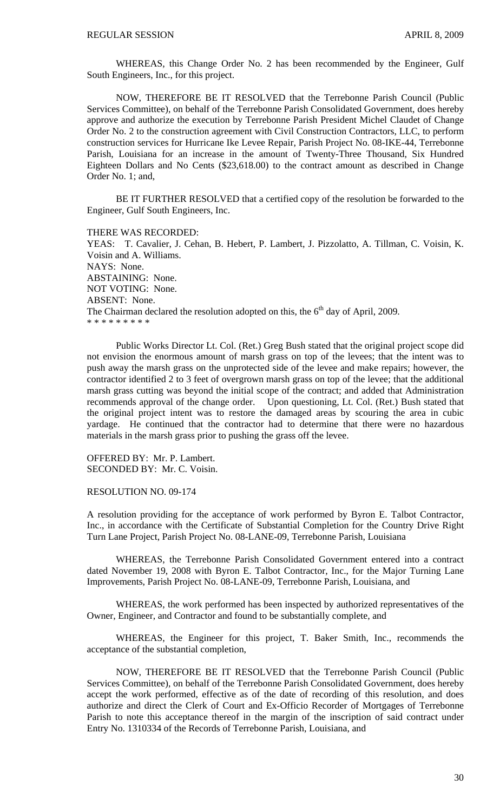WHEREAS, this Change Order No. 2 has been recommended by the Engineer, Gulf South Engineers, Inc., for this project.

 NOW, THEREFORE BE IT RESOLVED that the Terrebonne Parish Council (Public Services Committee), on behalf of the Terrebonne Parish Consolidated Government, does hereby approve and authorize the execution by Terrebonne Parish President Michel Claudet of Change Order No. 2 to the construction agreement with Civil Construction Contractors, LLC, to perform construction services for Hurricane Ike Levee Repair, Parish Project No. 08-IKE-44, Terrebonne Parish, Louisiana for an increase in the amount of Twenty-Three Thousand, Six Hundred Eighteen Dollars and No Cents (\$23,618.00) to the contract amount as described in Change Order No. 1; and,

 BE IT FURTHER RESOLVED that a certified copy of the resolution be forwarded to the Engineer, Gulf South Engineers, Inc.

THERE WAS RECORDED: YEAS: T. Cavalier, J. Cehan, B. Hebert, P. Lambert, J. Pizzolatto, A. Tillman, C. Voisin, K. Voisin and A. Williams. NAYS: None. ABSTAINING: None. NOT VOTING: None. ABSENT: None. The Chairman declared the resolution adopted on this, the  $6<sup>th</sup>$  day of April, 2009. \* \* \* \* \* \* \* \* \*

 Public Works Director Lt. Col. (Ret.) Greg Bush stated that the original project scope did not envision the enormous amount of marsh grass on top of the levees; that the intent was to push away the marsh grass on the unprotected side of the levee and make repairs; however, the contractor identified 2 to 3 feet of overgrown marsh grass on top of the levee; that the additional marsh grass cutting was beyond the initial scope of the contract; and added that Administration recommends approval of the change order. Upon questioning, Lt. Col. (Ret.) Bush stated that the original project intent was to restore the damaged areas by scouring the area in cubic yardage. He continued that the contractor had to determine that there were no hazardous materials in the marsh grass prior to pushing the grass off the levee.

OFFERED BY: Mr. P. Lambert. SECONDED BY: Mr. C. Voisin.

RESOLUTION NO. 09-174

A resolution providing for the acceptance of work performed by Byron E. Talbot Contractor, Inc., in accordance with the Certificate of Substantial Completion for the Country Drive Right Turn Lane Project, Parish Project No. 08-LANE-09, Terrebonne Parish, Louisiana

 WHEREAS, the Terrebonne Parish Consolidated Government entered into a contract dated November 19, 2008 with Byron E. Talbot Contractor, Inc., for the Major Turning Lane Improvements, Parish Project No. 08-LANE-09, Terrebonne Parish, Louisiana, and

 WHEREAS, the work performed has been inspected by authorized representatives of the Owner, Engineer, and Contractor and found to be substantially complete, and

 WHEREAS, the Engineer for this project, T. Baker Smith, Inc., recommends the acceptance of the substantial completion,

 NOW, THEREFORE BE IT RESOLVED that the Terrebonne Parish Council (Public Services Committee), on behalf of the Terrebonne Parish Consolidated Government, does hereby accept the work performed, effective as of the date of recording of this resolution, and does authorize and direct the Clerk of Court and Ex-Officio Recorder of Mortgages of Terrebonne Parish to note this acceptance thereof in the margin of the inscription of said contract under Entry No. 1310334 of the Records of Terrebonne Parish, Louisiana, and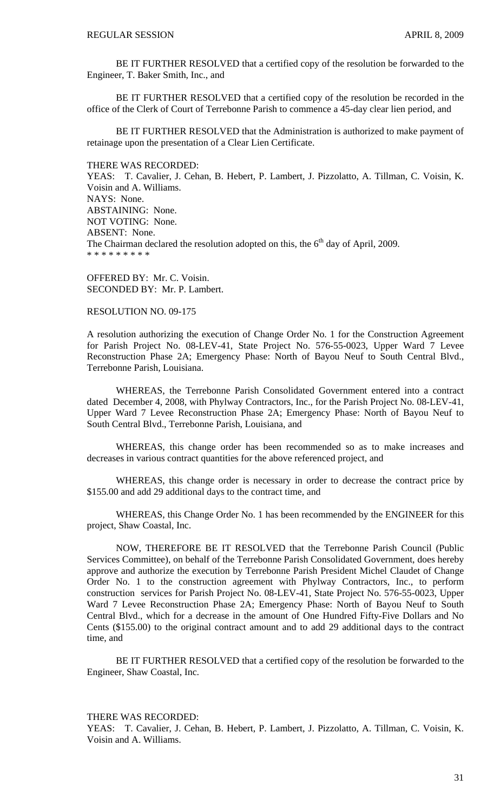BE IT FURTHER RESOLVED that a certified copy of the resolution be forwarded to the Engineer, T. Baker Smith, Inc., and

 BE IT FURTHER RESOLVED that a certified copy of the resolution be recorded in the office of the Clerk of Court of Terrebonne Parish to commence a 45-day clear lien period, and

 BE IT FURTHER RESOLVED that the Administration is authorized to make payment of retainage upon the presentation of a Clear Lien Certificate.

#### THERE WAS RECORDED:

YEAS: T. Cavalier, J. Cehan, B. Hebert, P. Lambert, J. Pizzolatto, A. Tillman, C. Voisin, K. Voisin and A. Williams. NAYS: None. ABSTAINING: None. NOT VOTING: None. ABSENT: None. The Chairman declared the resolution adopted on this, the  $6<sup>th</sup>$  day of April, 2009. \* \* \* \* \* \* \* \* \*

OFFERED BY: Mr. C. Voisin. SECONDED BY: Mr. P. Lambert.

## RESOLUTION NO. 09-175

A resolution authorizing the execution of Change Order No. 1 for the Construction Agreement for Parish Project No. 08-LEV-41, State Project No. 576-55-0023, Upper Ward 7 Levee Reconstruction Phase 2A; Emergency Phase: North of Bayou Neuf to South Central Blvd., Terrebonne Parish, Louisiana.

 WHEREAS, the Terrebonne Parish Consolidated Government entered into a contract dated December 4, 2008, with Phylway Contractors, Inc., for the Parish Project No. 08-LEV-41, Upper Ward 7 Levee Reconstruction Phase 2A; Emergency Phase: North of Bayou Neuf to South Central Blvd., Terrebonne Parish, Louisiana, and

 WHEREAS, this change order has been recommended so as to make increases and decreases in various contract quantities for the above referenced project, and

 WHEREAS, this change order is necessary in order to decrease the contract price by \$155.00 and add 29 additional days to the contract time, and

 WHEREAS, this Change Order No. 1 has been recommended by the ENGINEER for this project, Shaw Coastal, Inc.

 NOW, THEREFORE BE IT RESOLVED that the Terrebonne Parish Council (Public Services Committee), on behalf of the Terrebonne Parish Consolidated Government, does hereby approve and authorize the execution by Terrebonne Parish President Michel Claudet of Change Order No. 1 to the construction agreement with Phylway Contractors, Inc., to perform construction services for Parish Project No. 08-LEV-41, State Project No. 576-55-0023, Upper Ward 7 Levee Reconstruction Phase 2A; Emergency Phase: North of Bayou Neuf to South Central Blvd., which for a decrease in the amount of One Hundred Fifty-Five Dollars and No Cents (\$155.00) to the original contract amount and to add 29 additional days to the contract time, and

 BE IT FURTHER RESOLVED that a certified copy of the resolution be forwarded to the Engineer, Shaw Coastal, Inc.

#### THERE WAS RECORDED:

YEAS: T. Cavalier, J. Cehan, B. Hebert, P. Lambert, J. Pizzolatto, A. Tillman, C. Voisin, K. Voisin and A. Williams.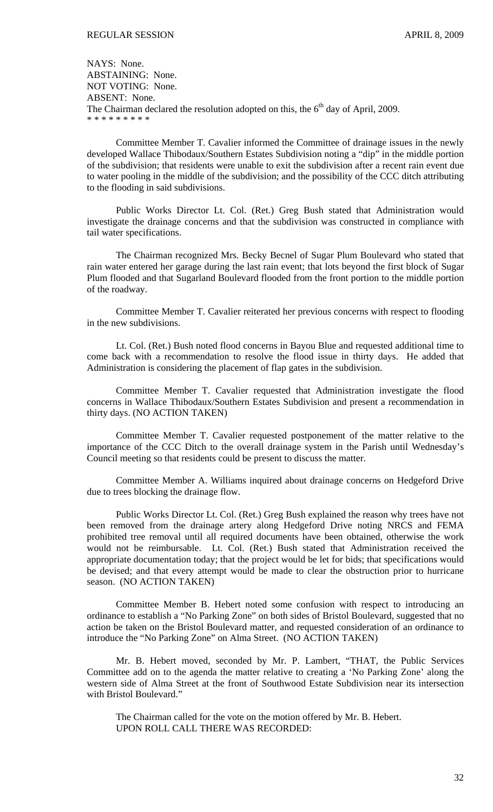NAYS: None. ABSTAINING: None. NOT VOTING: None. ABSENT: None. The Chairman declared the resolution adopted on this, the  $6<sup>th</sup>$  day of April, 2009. \* \* \* \* \* \* \* \* \*

Committee Member T. Cavalier informed the Committee of drainage issues in the newly developed Wallace Thibodaux/Southern Estates Subdivision noting a "dip" in the middle portion of the subdivision; that residents were unable to exit the subdivision after a recent rain event due to water pooling in the middle of the subdivision; and the possibility of the CCC ditch attributing to the flooding in said subdivisions.

Public Works Director Lt. Col. (Ret.) Greg Bush stated that Administration would investigate the drainage concerns and that the subdivision was constructed in compliance with tail water specifications.

The Chairman recognized Mrs. Becky Becnel of Sugar Plum Boulevard who stated that rain water entered her garage during the last rain event; that lots beyond the first block of Sugar Plum flooded and that Sugarland Boulevard flooded from the front portion to the middle portion of the roadway.

Committee Member T. Cavalier reiterated her previous concerns with respect to flooding in the new subdivisions.

Lt. Col. (Ret.) Bush noted flood concerns in Bayou Blue and requested additional time to come back with a recommendation to resolve the flood issue in thirty days. He added that Administration is considering the placement of flap gates in the subdivision.

Committee Member T. Cavalier requested that Administration investigate the flood concerns in Wallace Thibodaux/Southern Estates Subdivision and present a recommendation in thirty days. (NO ACTION TAKEN)

Committee Member T. Cavalier requested postponement of the matter relative to the importance of the CCC Ditch to the overall drainage system in the Parish until Wednesday's Council meeting so that residents could be present to discuss the matter.

Committee Member A. Williams inquired about drainage concerns on Hedgeford Drive due to trees blocking the drainage flow.

Public Works Director Lt. Col. (Ret.) Greg Bush explained the reason why trees have not been removed from the drainage artery along Hedgeford Drive noting NRCS and FEMA prohibited tree removal until all required documents have been obtained, otherwise the work would not be reimbursable. Lt. Col. (Ret.) Bush stated that Administration received the appropriate documentation today; that the project would be let for bids; that specifications would be devised; and that every attempt would be made to clear the obstruction prior to hurricane season. (NO ACTION TAKEN)

 Committee Member B. Hebert noted some confusion with respect to introducing an ordinance to establish a "No Parking Zone" on both sides of Bristol Boulevard, suggested that no action be taken on the Bristol Boulevard matter, and requested consideration of an ordinance to introduce the "No Parking Zone" on Alma Street. (NO ACTION TAKEN)

 Mr. B. Hebert moved, seconded by Mr. P. Lambert, "THAT, the Public Services Committee add on to the agenda the matter relative to creating a 'No Parking Zone' along the western side of Alma Street at the front of Southwood Estate Subdivision near its intersection with Bristol Boulevard."

The Chairman called for the vote on the motion offered by Mr. B. Hebert. UPON ROLL CALL THERE WAS RECORDED: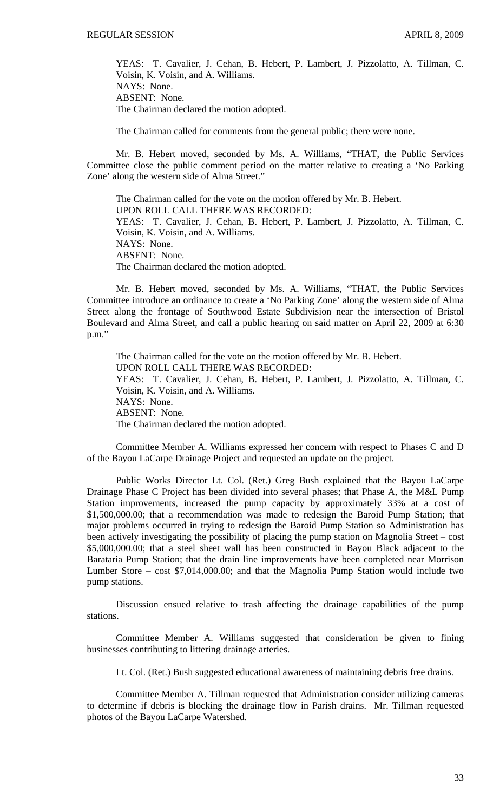YEAS: T. Cavalier, J. Cehan, B. Hebert, P. Lambert, J. Pizzolatto, A. Tillman, C. Voisin, K. Voisin, and A. Williams. NAYS: None. ABSENT: None. The Chairman declared the motion adopted.

The Chairman called for comments from the general public; there were none.

 Mr. B. Hebert moved, seconded by Ms. A. Williams, "THAT, the Public Services Committee close the public comment period on the matter relative to creating a 'No Parking Zone' along the western side of Alma Street."

The Chairman called for the vote on the motion offered by Mr. B. Hebert. UPON ROLL CALL THERE WAS RECORDED: YEAS: T. Cavalier, J. Cehan, B. Hebert, P. Lambert, J. Pizzolatto, A. Tillman, C. Voisin, K. Voisin, and A. Williams. NAYS: None. ABSENT: None. The Chairman declared the motion adopted.

 Mr. B. Hebert moved, seconded by Ms. A. Williams, "THAT, the Public Services Committee introduce an ordinance to create a 'No Parking Zone' along the western side of Alma Street along the frontage of Southwood Estate Subdivision near the intersection of Bristol Boulevard and Alma Street, and call a public hearing on said matter on April 22, 2009 at 6:30 p.m."

The Chairman called for the vote on the motion offered by Mr. B. Hebert. UPON ROLL CALL THERE WAS RECORDED: YEAS: T. Cavalier, J. Cehan, B. Hebert, P. Lambert, J. Pizzolatto, A. Tillman, C. Voisin, K. Voisin, and A. Williams. NAYS: None. ABSENT: None. The Chairman declared the motion adopted.

 Committee Member A. Williams expressed her concern with respect to Phases C and D of the Bayou LaCarpe Drainage Project and requested an update on the project.

 Public Works Director Lt. Col. (Ret.) Greg Bush explained that the Bayou LaCarpe Drainage Phase C Project has been divided into several phases; that Phase A, the M&L Pump Station improvements, increased the pump capacity by approximately 33% at a cost of \$1,500,000.00; that a recommendation was made to redesign the Baroid Pump Station; that major problems occurred in trying to redesign the Baroid Pump Station so Administration has been actively investigating the possibility of placing the pump station on Magnolia Street – cost \$5,000,000.00; that a steel sheet wall has been constructed in Bayou Black adjacent to the Barataria Pump Station; that the drain line improvements have been completed near Morrison Lumber Store – cost \$7,014,000.00; and that the Magnolia Pump Station would include two pump stations.

 Discussion ensued relative to trash affecting the drainage capabilities of the pump stations.

 Committee Member A. Williams suggested that consideration be given to fining businesses contributing to littering drainage arteries.

Lt. Col. (Ret.) Bush suggested educational awareness of maintaining debris free drains.

 Committee Member A. Tillman requested that Administration consider utilizing cameras to determine if debris is blocking the drainage flow in Parish drains. Mr. Tillman requested photos of the Bayou LaCarpe Watershed.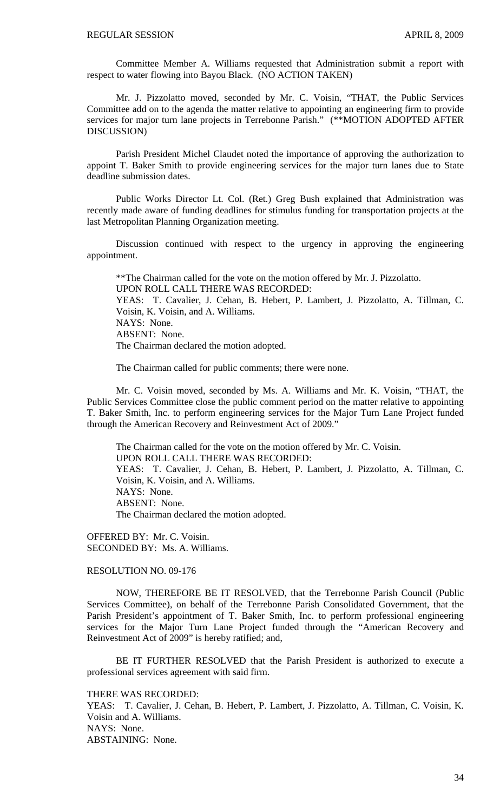Committee Member A. Williams requested that Administration submit a report with respect to water flowing into Bayou Black. (NO ACTION TAKEN)

Mr. J. Pizzolatto moved, seconded by Mr. C. Voisin, "THAT, the Public Services Committee add on to the agenda the matter relative to appointing an engineering firm to provide services for major turn lane projects in Terrebonne Parish." (\*\*MOTION ADOPTED AFTER DISCUSSION)

Parish President Michel Claudet noted the importance of approving the authorization to appoint T. Baker Smith to provide engineering services for the major turn lanes due to State deadline submission dates.

Public Works Director Lt. Col. (Ret.) Greg Bush explained that Administration was recently made aware of funding deadlines for stimulus funding for transportation projects at the last Metropolitan Planning Organization meeting.

Discussion continued with respect to the urgency in approving the engineering appointment.

\*\*The Chairman called for the vote on the motion offered by Mr. J. Pizzolatto. UPON ROLL CALL THERE WAS RECORDED: YEAS: T. Cavalier, J. Cehan, B. Hebert, P. Lambert, J. Pizzolatto, A. Tillman, C. Voisin, K. Voisin, and A. Williams. NAYS: None. ABSENT: None. The Chairman declared the motion adopted.

The Chairman called for public comments; there were none.

 Mr. C. Voisin moved, seconded by Ms. A. Williams and Mr. K. Voisin, "THAT, the Public Services Committee close the public comment period on the matter relative to appointing T. Baker Smith, Inc. to perform engineering services for the Major Turn Lane Project funded through the American Recovery and Reinvestment Act of 2009."

 The Chairman called for the vote on the motion offered by Mr. C. Voisin. UPON ROLL CALL THERE WAS RECORDED: YEAS: T. Cavalier, J. Cehan, B. Hebert, P. Lambert, J. Pizzolatto, A. Tillman, C. Voisin, K. Voisin, and A. Williams. NAYS: None. ABSENT: None. The Chairman declared the motion adopted.

OFFERED BY: Mr. C. Voisin. SECONDED BY: Ms. A. Williams.

# RESOLUTION NO. 09-176

NOW, THEREFORE BE IT RESOLVED, that the Terrebonne Parish Council (Public Services Committee), on behalf of the Terrebonne Parish Consolidated Government, that the Parish President's appointment of T. Baker Smith, Inc. to perform professional engineering services for the Major Turn Lane Project funded through the "American Recovery and Reinvestment Act of 2009" is hereby ratified; and,

BE IT FURTHER RESOLVED that the Parish President is authorized to execute a professional services agreement with said firm.

THERE WAS RECORDED:

YEAS: T. Cavalier, J. Cehan, B. Hebert, P. Lambert, J. Pizzolatto, A. Tillman, C. Voisin, K. Voisin and A. Williams. NAYS: None. ABSTAINING: None.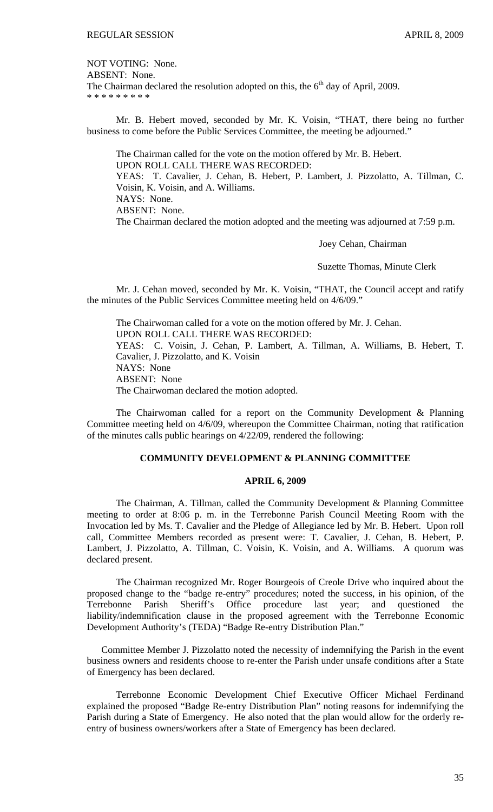NOT VOTING: None. ABSENT: None. The Chairman declared the resolution adopted on this, the  $6<sup>th</sup>$  day of April, 2009. \* \* \* \* \* \* \* \* \*

 Mr. B. Hebert moved, seconded by Mr. K. Voisin, "THAT, there being no further business to come before the Public Services Committee, the meeting be adjourned."

 The Chairman called for the vote on the motion offered by Mr. B. Hebert. UPON ROLL CALL THERE WAS RECORDED: YEAS: T. Cavalier, J. Cehan, B. Hebert, P. Lambert, J. Pizzolatto, A. Tillman, C. Voisin, K. Voisin, and A. Williams. NAYS: None. ABSENT: None. The Chairman declared the motion adopted and the meeting was adjourned at 7:59 p.m.

Joey Cehan, Chairman

Suzette Thomas, Minute Clerk

Mr. J. Cehan moved, seconded by Mr. K. Voisin, "THAT, the Council accept and ratify the minutes of the Public Services Committee meeting held on 4/6/09."

 The Chairwoman called for a vote on the motion offered by Mr. J. Cehan. UPON ROLL CALL THERE WAS RECORDED: YEAS: C. Voisin, J. Cehan, P. Lambert, A. Tillman, A. Williams, B. Hebert, T. Cavalier, J. Pizzolatto, and K. Voisin NAYS: None ABSENT: None The Chairwoman declared the motion adopted.

 The Chairwoman called for a report on the Community Development & Planning Committee meeting held on 4/6/09, whereupon the Committee Chairman, noting that ratification of the minutes calls public hearings on 4/22/09, rendered the following:

# **COMMUNITY DEVELOPMENT & PLANNING COMMITTEE**

# **APRIL 6, 2009**

 The Chairman, A. Tillman, called the Community Development & Planning Committee meeting to order at 8:06 p. m. in the Terrebonne Parish Council Meeting Room with the Invocation led by Ms. T. Cavalier and the Pledge of Allegiance led by Mr. B. Hebert. Upon roll call, Committee Members recorded as present were: T. Cavalier, J. Cehan, B. Hebert, P. Lambert, J. Pizzolatto, A. Tillman, C. Voisin, K. Voisin, and A. Williams. A quorum was declared present.

 The Chairman recognized Mr. Roger Bourgeois of Creole Drive who inquired about the proposed change to the "badge re-entry" procedures; noted the success, in his opinion, of the Terrebonne Parish Sheriff's Office procedure last year; and questioned the liability/indemnification clause in the proposed agreement with the Terrebonne Economic Development Authority's (TEDA) "Badge Re-entry Distribution Plan."

 Committee Member J. Pizzolatto noted the necessity of indemnifying the Parish in the event business owners and residents choose to re-enter the Parish under unsafe conditions after a State of Emergency has been declared.

 Terrebonne Economic Development Chief Executive Officer Michael Ferdinand explained the proposed "Badge Re-entry Distribution Plan" noting reasons for indemnifying the Parish during a State of Emergency. He also noted that the plan would allow for the orderly reentry of business owners/workers after a State of Emergency has been declared.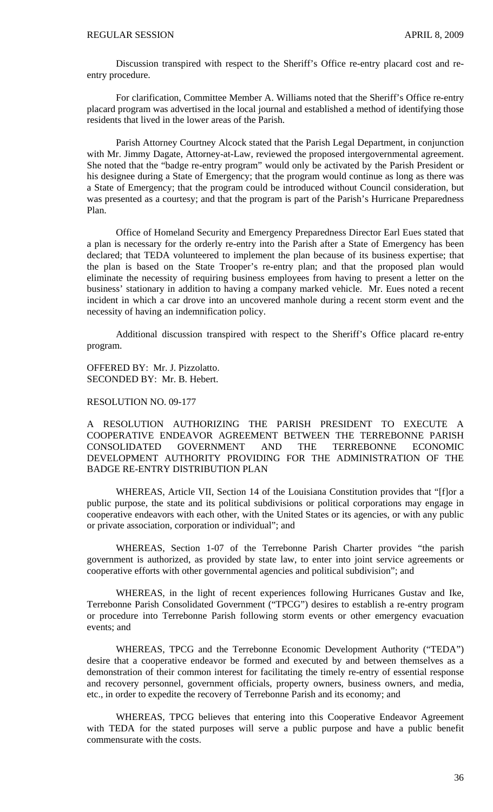Discussion transpired with respect to the Sheriff's Office re-entry placard cost and reentry procedure.

 For clarification, Committee Member A. Williams noted that the Sheriff's Office re-entry placard program was advertised in the local journal and established a method of identifying those residents that lived in the lower areas of the Parish.

 Parish Attorney Courtney Alcock stated that the Parish Legal Department, in conjunction with Mr. Jimmy Dagate, Attorney-at-Law, reviewed the proposed intergovernmental agreement. She noted that the "badge re-entry program" would only be activated by the Parish President or his designee during a State of Emergency; that the program would continue as long as there was a State of Emergency; that the program could be introduced without Council consideration, but was presented as a courtesy; and that the program is part of the Parish's Hurricane Preparedness Plan.

 Office of Homeland Security and Emergency Preparedness Director Earl Eues stated that a plan is necessary for the orderly re-entry into the Parish after a State of Emergency has been declared; that TEDA volunteered to implement the plan because of its business expertise; that the plan is based on the State Trooper's re-entry plan; and that the proposed plan would eliminate the necessity of requiring business employees from having to present a letter on the business' stationary in addition to having a company marked vehicle. Mr. Eues noted a recent incident in which a car drove into an uncovered manhole during a recent storm event and the necessity of having an indemnification policy.

 Additional discussion transpired with respect to the Sheriff's Office placard re-entry program.

OFFERED BY: Mr. J. Pizzolatto. SECONDED BY: Mr. B. Hebert.

# RESOLUTION NO. 09-177

A RESOLUTION AUTHORIZING THE PARISH PRESIDENT TO EXECUTE A COOPERATIVE ENDEAVOR AGREEMENT BETWEEN THE TERREBONNE PARISH CONSOLIDATED GOVERNMENT AND THE TERREBONNE ECONOMIC DEVELOPMENT AUTHORITY PROVIDING FOR THE ADMINISTRATION OF THE BADGE RE-ENTRY DISTRIBUTION PLAN

WHEREAS, Article VII, Section 14 of the Louisiana Constitution provides that "[f]or a public purpose, the state and its political subdivisions or political corporations may engage in cooperative endeavors with each other, with the United States or its agencies, or with any public or private association, corporation or individual"; and

WHEREAS, Section 1-07 of the Terrebonne Parish Charter provides "the parish government is authorized, as provided by state law, to enter into joint service agreements or cooperative efforts with other governmental agencies and political subdivision"; and

WHEREAS, in the light of recent experiences following Hurricanes Gustav and Ike, Terrebonne Parish Consolidated Government ("TPCG") desires to establish a re-entry program or procedure into Terrebonne Parish following storm events or other emergency evacuation events; and

 WHEREAS, TPCG and the Terrebonne Economic Development Authority ("TEDA") desire that a cooperative endeavor be formed and executed by and between themselves as a demonstration of their common interest for facilitating the timely re-entry of essential response and recovery personnel, government officials, property owners, business owners, and media, etc., in order to expedite the recovery of Terrebonne Parish and its economy; and

 WHEREAS, TPCG believes that entering into this Cooperative Endeavor Agreement with TEDA for the stated purposes will serve a public purpose and have a public benefit commensurate with the costs.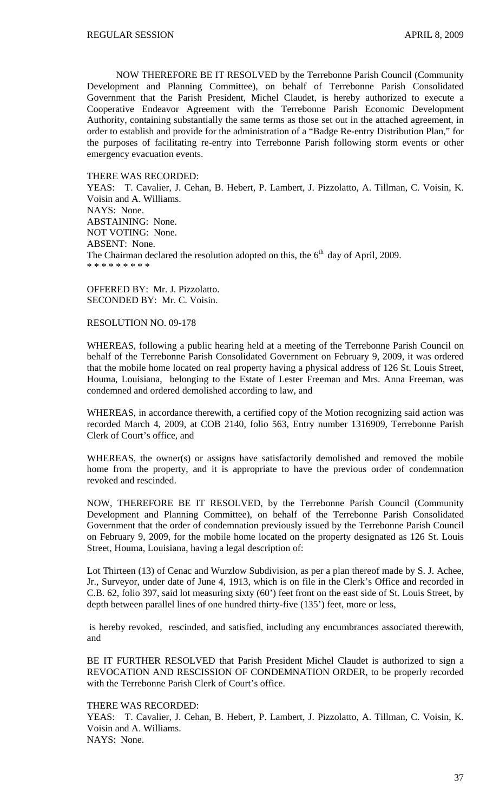NOW THEREFORE BE IT RESOLVED by the Terrebonne Parish Council (Community Development and Planning Committee), on behalf of Terrebonne Parish Consolidated Government that the Parish President, Michel Claudet, is hereby authorized to execute a Cooperative Endeavor Agreement with the Terrebonne Parish Economic Development Authority, containing substantially the same terms as those set out in the attached agreement, in order to establish and provide for the administration of a "Badge Re-entry Distribution Plan," for the purposes of facilitating re-entry into Terrebonne Parish following storm events or other emergency evacuation events.

#### THERE WAS RECORDED:

YEAS: T. Cavalier, J. Cehan, B. Hebert, P. Lambert, J. Pizzolatto, A. Tillman, C. Voisin, K. Voisin and A. Williams. NAYS: None. ABSTAINING: None. NOT VOTING: None. ABSENT: None. The Chairman declared the resolution adopted on this, the  $6<sup>th</sup>$  day of April, 2009. \* \* \* \* \* \* \* \* \*

OFFERED BY: Mr. J. Pizzolatto. SECONDED BY: Mr. C. Voisin.

# RESOLUTION NO. 09-178

WHEREAS, following a public hearing held at a meeting of the Terrebonne Parish Council on behalf of the Terrebonne Parish Consolidated Government on February 9, 2009, it was ordered that the mobile home located on real property having a physical address of 126 St. Louis Street, Houma, Louisiana, belonging to the Estate of Lester Freeman and Mrs. Anna Freeman, was condemned and ordered demolished according to law, and

WHEREAS, in accordance therewith, a certified copy of the Motion recognizing said action was recorded March 4, 2009, at COB 2140, folio 563, Entry number 1316909, Terrebonne Parish Clerk of Court's office, and

WHEREAS, the owner(s) or assigns have satisfactorily demolished and removed the mobile home from the property, and it is appropriate to have the previous order of condemnation revoked and rescinded.

NOW, THEREFORE BE IT RESOLVED, by the Terrebonne Parish Council (Community Development and Planning Committee), on behalf of the Terrebonne Parish Consolidated Government that the order of condemnation previously issued by the Terrebonne Parish Council on February 9, 2009, for the mobile home located on the property designated as 126 St. Louis Street, Houma, Louisiana, having a legal description of:

Lot Thirteen (13) of Cenac and Wurzlow Subdivision, as per a plan thereof made by S. J. Achee, Jr., Surveyor, under date of June 4, 1913, which is on file in the Clerk's Office and recorded in C.B. 62, folio 397, said lot measuring sixty (60') feet front on the east side of St. Louis Street, by depth between parallel lines of one hundred thirty-five (135') feet, more or less,

 is hereby revoked, rescinded, and satisfied, including any encumbrances associated therewith, and

BE IT FURTHER RESOLVED that Parish President Michel Claudet is authorized to sign a REVOCATION AND RESCISSION OF CONDEMNATION ORDER, to be properly recorded with the Terrebonne Parish Clerk of Court's office.

#### THERE WAS RECORDED:

YEAS: T. Cavalier, J. Cehan, B. Hebert, P. Lambert, J. Pizzolatto, A. Tillman, C. Voisin, K. Voisin and A. Williams. NAYS: None.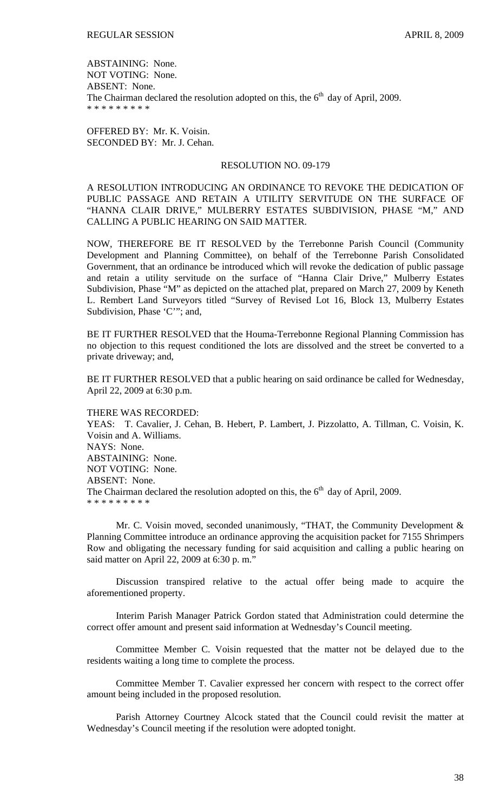ABSTAINING: None. NOT VOTING: None. ABSENT: None. The Chairman declared the resolution adopted on this, the  $6<sup>th</sup>$  day of April, 2009. \* \* \* \* \* \* \* \* \*

OFFERED BY: Mr. K. Voisin. SECONDED BY: Mr. J. Cehan.

# RESOLUTION NO. 09-179

A RESOLUTION INTRODUCING AN ORDINANCE TO REVOKE THE DEDICATION OF PUBLIC PASSAGE AND RETAIN A UTILITY SERVITUDE ON THE SURFACE OF "HANNA CLAIR DRIVE," MULBERRY ESTATES SUBDIVISION, PHASE "M," AND CALLING A PUBLIC HEARING ON SAID MATTER.

NOW, THEREFORE BE IT RESOLVED by the Terrebonne Parish Council (Community Development and Planning Committee), on behalf of the Terrebonne Parish Consolidated Government, that an ordinance be introduced which will revoke the dedication of public passage and retain a utility servitude on the surface of "Hanna Clair Drive," Mulberry Estates Subdivision, Phase "M" as depicted on the attached plat, prepared on March 27, 2009 by Keneth L. Rembert Land Surveyors titled "Survey of Revised Lot 16, Block 13, Mulberry Estates Subdivision, Phase 'C'"; and,

BE IT FURTHER RESOLVED that the Houma-Terrebonne Regional Planning Commission has no objection to this request conditioned the lots are dissolved and the street be converted to a private driveway; and,

BE IT FURTHER RESOLVED that a public hearing on said ordinance be called for Wednesday, April 22, 2009 at 6:30 p.m.

THERE WAS RECORDED: YEAS: T. Cavalier, J. Cehan, B. Hebert, P. Lambert, J. Pizzolatto, A. Tillman, C. Voisin, K. Voisin and A. Williams. NAYS: None. ABSTAINING: None. NOT VOTING: None. ABSENT: None. The Chairman declared the resolution adopted on this, the  $6<sup>th</sup>$  day of April, 2009. \* \* \* \* \* \* \* \* \*

Mr. C. Voisin moved, seconded unanimously, "THAT, the Community Development & Planning Committee introduce an ordinance approving the acquisition packet for 7155 Shrimpers Row and obligating the necessary funding for said acquisition and calling a public hearing on said matter on April 22, 2009 at 6:30 p. m."

 Discussion transpired relative to the actual offer being made to acquire the aforementioned property.

 Interim Parish Manager Patrick Gordon stated that Administration could determine the correct offer amount and present said information at Wednesday's Council meeting.

 Committee Member C. Voisin requested that the matter not be delayed due to the residents waiting a long time to complete the process.

 Committee Member T. Cavalier expressed her concern with respect to the correct offer amount being included in the proposed resolution.

 Parish Attorney Courtney Alcock stated that the Council could revisit the matter at Wednesday's Council meeting if the resolution were adopted tonight.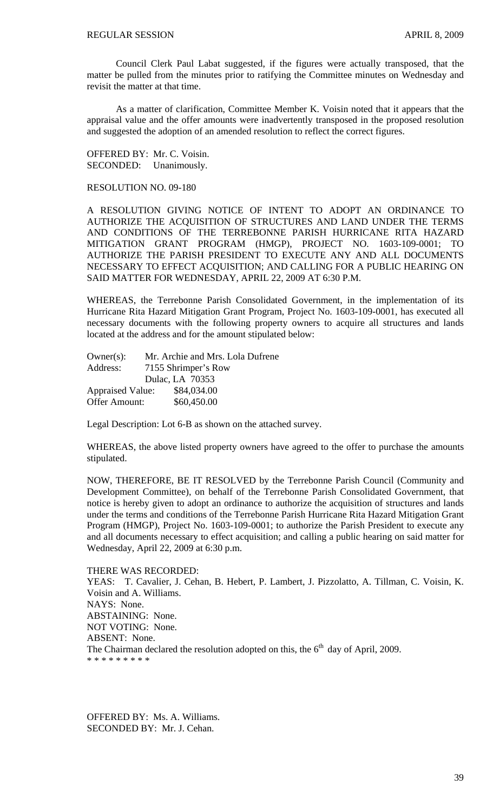Council Clerk Paul Labat suggested, if the figures were actually transposed, that the matter be pulled from the minutes prior to ratifying the Committee minutes on Wednesday and revisit the matter at that time.

 As a matter of clarification, Committee Member K. Voisin noted that it appears that the appraisal value and the offer amounts were inadvertently transposed in the proposed resolution and suggested the adoption of an amended resolution to reflect the correct figures.

OFFERED BY: Mr. C. Voisin. SECONDED: Unanimously.

# RESOLUTION NO. 09-180

A RESOLUTION GIVING NOTICE OF INTENT TO ADOPT AN ORDINANCE TO AUTHORIZE THE ACQUISITION OF STRUCTURES AND LAND UNDER THE TERMS AND CONDITIONS OF THE TERREBONNE PARISH HURRICANE RITA HAZARD MITIGATION GRANT PROGRAM (HMGP), PROJECT NO. 1603-109-0001; TO AUTHORIZE THE PARISH PRESIDENT TO EXECUTE ANY AND ALL DOCUMENTS NECESSARY TO EFFECT ACQUISITION; AND CALLING FOR A PUBLIC HEARING ON SAID MATTER FOR WEDNESDAY, APRIL 22, 2009 AT 6:30 P.M.

WHEREAS, the Terrebonne Parish Consolidated Government, in the implementation of its Hurricane Rita Hazard Mitigation Grant Program, Project No. 1603-109-0001, has executed all necessary documents with the following property owners to acquire all structures and lands located at the address and for the amount stipulated below:

| $Owner(s)$ :            | Mr. Archie and Mrs. Lola Dufrene |
|-------------------------|----------------------------------|
| Address:                | 7155 Shrimper's Row              |
|                         | Dulac, LA 70353                  |
| <b>Appraised Value:</b> | \$84,034.00                      |
| <b>Offer Amount:</b>    | \$60,450.00                      |

Legal Description: Lot 6-B as shown on the attached survey.

WHEREAS, the above listed property owners have agreed to the offer to purchase the amounts stipulated.

NOW, THEREFORE, BE IT RESOLVED by the Terrebonne Parish Council (Community and Development Committee), on behalf of the Terrebonne Parish Consolidated Government, that notice is hereby given to adopt an ordinance to authorize the acquisition of structures and lands under the terms and conditions of the Terrebonne Parish Hurricane Rita Hazard Mitigation Grant Program (HMGP), Project No. 1603-109-0001; to authorize the Parish President to execute any and all documents necessary to effect acquisition; and calling a public hearing on said matter for Wednesday, April 22, 2009 at 6:30 p.m.

THERE WAS RECORDED: YEAS: T. Cavalier, J. Cehan, B. Hebert, P. Lambert, J. Pizzolatto, A. Tillman, C. Voisin, K. Voisin and A. Williams. NAYS: None. ABSTAINING: None. NOT VOTING: None. ABSENT: None. The Chairman declared the resolution adopted on this, the  $6<sup>th</sup>$  day of April, 2009. \* \* \* \* \* \* \* \* \*

OFFERED BY: Ms. A. Williams. SECONDED BY: Mr. J. Cehan.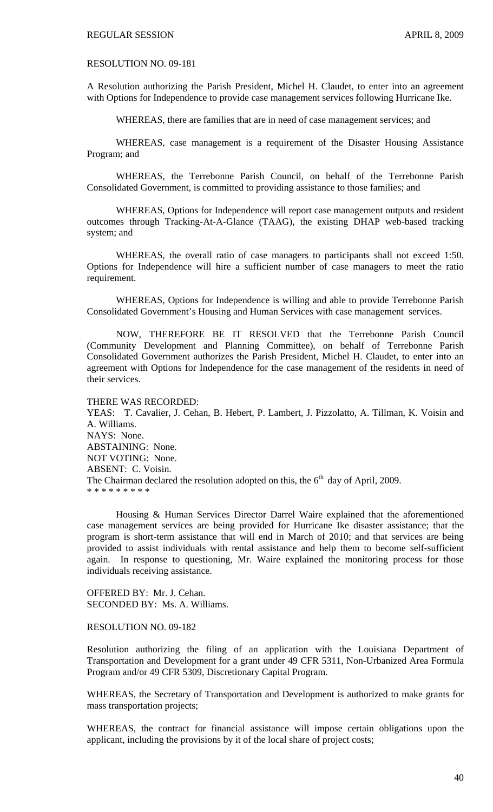# RESOLUTION NO. 09-181

A Resolution authorizing the Parish President, Michel H. Claudet, to enter into an agreement with Options for Independence to provide case management services following Hurricane Ike.

WHEREAS, there are families that are in need of case management services; and

 WHEREAS, case management is a requirement of the Disaster Housing Assistance Program; and

 WHEREAS, the Terrebonne Parish Council, on behalf of the Terrebonne Parish Consolidated Government, is committed to providing assistance to those families; and

 WHEREAS, Options for Independence will report case management outputs and resident outcomes through Tracking-At-A-Glance (TAAG), the existing DHAP web-based tracking system; and

 WHEREAS, the overall ratio of case managers to participants shall not exceed 1:50. Options for Independence will hire a sufficient number of case managers to meet the ratio requirement.

 WHEREAS, Options for Independence is willing and able to provide Terrebonne Parish Consolidated Government's Housing and Human Services with case management services.

 NOW, THEREFORE BE IT RESOLVED that the Terrebonne Parish Council (Community Development and Planning Committee), on behalf of Terrebonne Parish Consolidated Government authorizes the Parish President, Michel H. Claudet, to enter into an agreement with Options for Independence for the case management of the residents in need of their services.

### THERE WAS RECORDED:

YEAS: T. Cavalier, J. Cehan, B. Hebert, P. Lambert, J. Pizzolatto, A. Tillman, K. Voisin and A. Williams. NAYS: None. ABSTAINING: None. NOT VOTING: None. ABSENT: C. Voisin. The Chairman declared the resolution adopted on this, the  $6<sup>th</sup>$  day of April, 2009. \* \* \* \* \* \* \* \* \*

 Housing & Human Services Director Darrel Waire explained that the aforementioned case management services are being provided for Hurricane Ike disaster assistance; that the program is short-term assistance that will end in March of 2010; and that services are being provided to assist individuals with rental assistance and help them to become self-sufficient again. In response to questioning, Mr. Waire explained the monitoring process for those individuals receiving assistance.

OFFERED BY: Mr. J. Cehan. SECONDED BY: Ms. A. Williams.

RESOLUTION NO. 09-182

Resolution authorizing the filing of an application with the Louisiana Department of Transportation and Development for a grant under 49 CFR 5311, Non-Urbanized Area Formula Program and/or 49 CFR 5309, Discretionary Capital Program.

WHEREAS, the Secretary of Transportation and Development is authorized to make grants for mass transportation projects;

WHEREAS, the contract for financial assistance will impose certain obligations upon the applicant, including the provisions by it of the local share of project costs;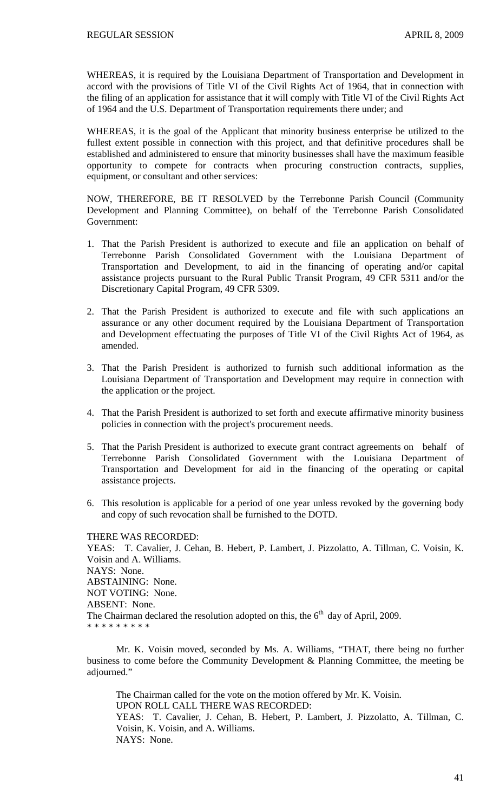WHEREAS, it is required by the Louisiana Department of Transportation and Development in accord with the provisions of Title VI of the Civil Rights Act of 1964, that in connection with the filing of an application for assistance that it will comply with Title VI of the Civil Rights Act of 1964 and the U.S. Department of Transportation requirements there under; and

WHEREAS, it is the goal of the Applicant that minority business enterprise be utilized to the fullest extent possible in connection with this project, and that definitive procedures shall be established and administered to ensure that minority businesses shall have the maximum feasible opportunity to compete for contracts when procuring construction contracts, supplies, equipment, or consultant and other services:

NOW, THEREFORE, BE IT RESOLVED by the Terrebonne Parish Council (Community Development and Planning Committee), on behalf of the Terrebonne Parish Consolidated Government:

- 1. That the Parish President is authorized to execute and file an application on behalf of Terrebonne Parish Consolidated Government with the Louisiana Department of Transportation and Development, to aid in the financing of operating and/or capital assistance projects pursuant to the Rural Public Transit Program, 49 CFR 5311 and/or the Discretionary Capital Program, 49 CFR 5309.
- 2. That the Parish President is authorized to execute and file with such applications an assurance or any other document required by the Louisiana Department of Transportation and Development effectuating the purposes of Title VI of the Civil Rights Act of 1964, as amended.
- 3. That the Parish President is authorized to furnish such additional information as the Louisiana Department of Transportation and Development may require in connection with the application or the project.
- 4. That the Parish President is authorized to set forth and execute affirmative minority business policies in connection with the project's procurement needs.
- 5. That the Parish President is authorized to execute grant contract agreements on behalf of Terrebonne Parish Consolidated Government with the Louisiana Department of Transportation and Development for aid in the financing of the operating or capital assistance projects.
- 6. This resolution is applicable for a period of one year unless revoked by the governing body and copy of such revocation shall be furnished to the DOTD.

#### THERE WAS RECORDED:

YEAS: T. Cavalier, J. Cehan, B. Hebert, P. Lambert, J. Pizzolatto, A. Tillman, C. Voisin, K. Voisin and A. Williams. NAYS: None. ABSTAINING: None. NOT VOTING: None. ABSENT: None. The Chairman declared the resolution adopted on this, the  $6<sup>th</sup>$  day of April, 2009. \* \* \* \* \* \* \* \* \*

 Mr. K. Voisin moved, seconded by Ms. A. Williams, "THAT, there being no further business to come before the Community Development & Planning Committee, the meeting be adjourned."

 The Chairman called for the vote on the motion offered by Mr. K. Voisin. UPON ROLL CALL THERE WAS RECORDED: YEAS: T. Cavalier, J. Cehan, B. Hebert, P. Lambert, J. Pizzolatto, A. Tillman, C. Voisin, K. Voisin, and A. Williams. NAYS: None.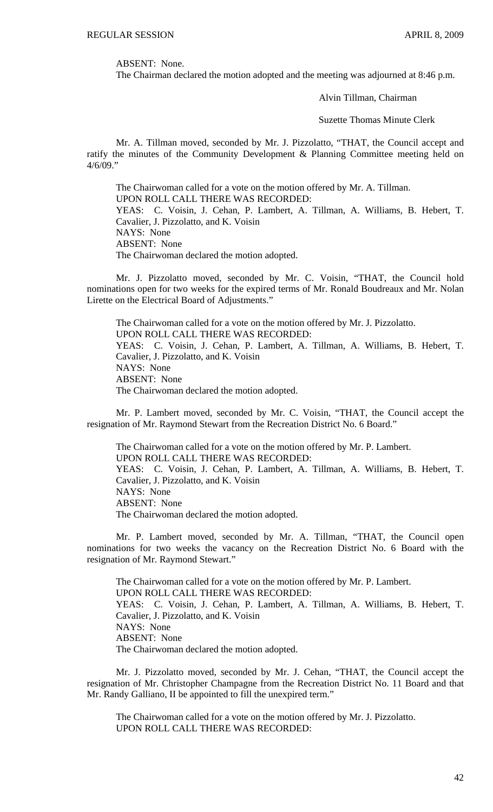ABSENT: None.

The Chairman declared the motion adopted and the meeting was adjourned at 8:46 p.m.

Alvin Tillman, Chairman

Suzette Thomas Minute Clerk

Mr. A. Tillman moved, seconded by Mr. J. Pizzolatto, "THAT, the Council accept and ratify the minutes of the Community Development & Planning Committee meeting held on  $4/6/09$ ."

 The Chairwoman called for a vote on the motion offered by Mr. A. Tillman. UPON ROLL CALL THERE WAS RECORDED: YEAS: C. Voisin, J. Cehan, P. Lambert, A. Tillman, A. Williams, B. Hebert, T. Cavalier, J. Pizzolatto, and K. Voisin NAYS: None ABSENT: None The Chairwoman declared the motion adopted.

 Mr. J. Pizzolatto moved, seconded by Mr. C. Voisin, "THAT, the Council hold nominations open for two weeks for the expired terms of Mr. Ronald Boudreaux and Mr. Nolan Lirette on the Electrical Board of Adjustments."

 The Chairwoman called for a vote on the motion offered by Mr. J. Pizzolatto. UPON ROLL CALL THERE WAS RECORDED: YEAS: C. Voisin, J. Cehan, P. Lambert, A. Tillman, A. Williams, B. Hebert, T. Cavalier, J. Pizzolatto, and K. Voisin NAYS: None ABSENT: None The Chairwoman declared the motion adopted.

Mr. P. Lambert moved, seconded by Mr. C. Voisin, "THAT, the Council accept the resignation of Mr. Raymond Stewart from the Recreation District No. 6 Board."

The Chairwoman called for a vote on the motion offered by Mr. P. Lambert. UPON ROLL CALL THERE WAS RECORDED: YEAS: C. Voisin, J. Cehan, P. Lambert, A. Tillman, A. Williams, B. Hebert, T. Cavalier, J. Pizzolatto, and K. Voisin NAYS: None ABSENT: None The Chairwoman declared the motion adopted.

Mr. P. Lambert moved, seconded by Mr. A. Tillman, "THAT, the Council open nominations for two weeks the vacancy on the Recreation District No. 6 Board with the resignation of Mr. Raymond Stewart."

The Chairwoman called for a vote on the motion offered by Mr. P. Lambert. UPON ROLL CALL THERE WAS RECORDED: YEAS: C. Voisin, J. Cehan, P. Lambert, A. Tillman, A. Williams, B. Hebert, T. Cavalier, J. Pizzolatto, and K. Voisin NAYS: None ABSENT: None The Chairwoman declared the motion adopted.

 Mr. J. Pizzolatto moved, seconded by Mr. J. Cehan, "THAT, the Council accept the resignation of Mr. Christopher Champagne from the Recreation District No. 11 Board and that Mr. Randy Galliano, II be appointed to fill the unexpired term."

 The Chairwoman called for a vote on the motion offered by Mr. J. Pizzolatto. UPON ROLL CALL THERE WAS RECORDED: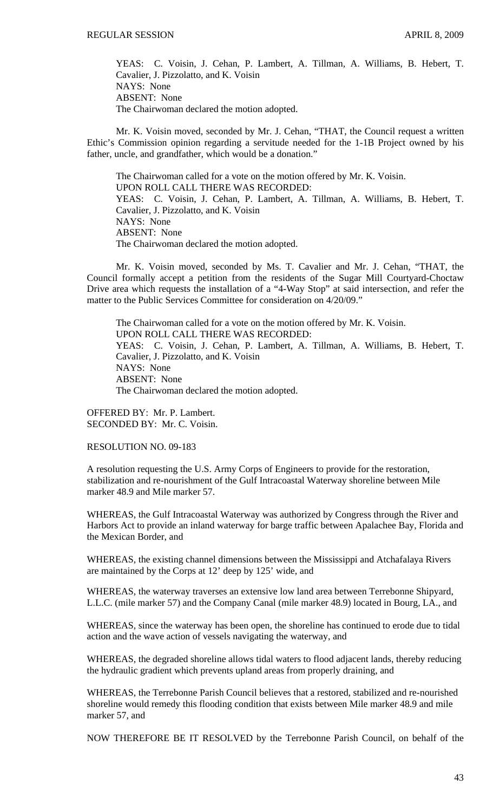YEAS: C. Voisin, J. Cehan, P. Lambert, A. Tillman, A. Williams, B. Hebert, T. Cavalier, J. Pizzolatto, and K. Voisin NAYS: None ABSENT: None The Chairwoman declared the motion adopted.

Mr. K. Voisin moved, seconded by Mr. J. Cehan, "THAT, the Council request a written Ethic's Commission opinion regarding a servitude needed for the 1-1B Project owned by his father, uncle, and grandfather, which would be a donation."

The Chairwoman called for a vote on the motion offered by Mr. K. Voisin. UPON ROLL CALL THERE WAS RECORDED: YEAS: C. Voisin, J. Cehan, P. Lambert, A. Tillman, A. Williams, B. Hebert, T. Cavalier, J. Pizzolatto, and K. Voisin NAYS: None ABSENT: None The Chairwoman declared the motion adopted.

Mr. K. Voisin moved, seconded by Ms. T. Cavalier and Mr. J. Cehan, "THAT, the Council formally accept a petition from the residents of the Sugar Mill Courtyard-Choctaw Drive area which requests the installation of a "4-Way Stop" at said intersection, and refer the matter to the Public Services Committee for consideration on 4/20/09."

The Chairwoman called for a vote on the motion offered by Mr. K. Voisin. UPON ROLL CALL THERE WAS RECORDED: YEAS: C. Voisin, J. Cehan, P. Lambert, A. Tillman, A. Williams, B. Hebert, T. Cavalier, J. Pizzolatto, and K. Voisin NAYS: None ABSENT: None The Chairwoman declared the motion adopted.

OFFERED BY: Mr. P. Lambert. SECONDED BY: Mr. C. Voisin.

RESOLUTION NO. 09-183

A resolution requesting the U.S. Army Corps of Engineers to provide for the restoration, stabilization and re-nourishment of the Gulf Intracoastal Waterway shoreline between Mile marker 48.9 and Mile marker 57.

WHEREAS, the Gulf Intracoastal Waterway was authorized by Congress through the River and Harbors Act to provide an inland waterway for barge traffic between Apalachee Bay, Florida and the Mexican Border, and

WHEREAS, the existing channel dimensions between the Mississippi and Atchafalaya Rivers are maintained by the Corps at 12' deep by 125' wide, and

WHEREAS, the waterway traverses an extensive low land area between Terrebonne Shipyard, L.L.C. (mile marker 57) and the Company Canal (mile marker 48.9) located in Bourg, LA., and

WHEREAS, since the waterway has been open, the shoreline has continued to erode due to tidal action and the wave action of vessels navigating the waterway, and

WHEREAS, the degraded shoreline allows tidal waters to flood adjacent lands, thereby reducing the hydraulic gradient which prevents upland areas from properly draining, and

WHEREAS, the Terrebonne Parish Council believes that a restored, stabilized and re-nourished shoreline would remedy this flooding condition that exists between Mile marker 48.9 and mile marker 57, and

NOW THEREFORE BE IT RESOLVED by the Terrebonne Parish Council, on behalf of the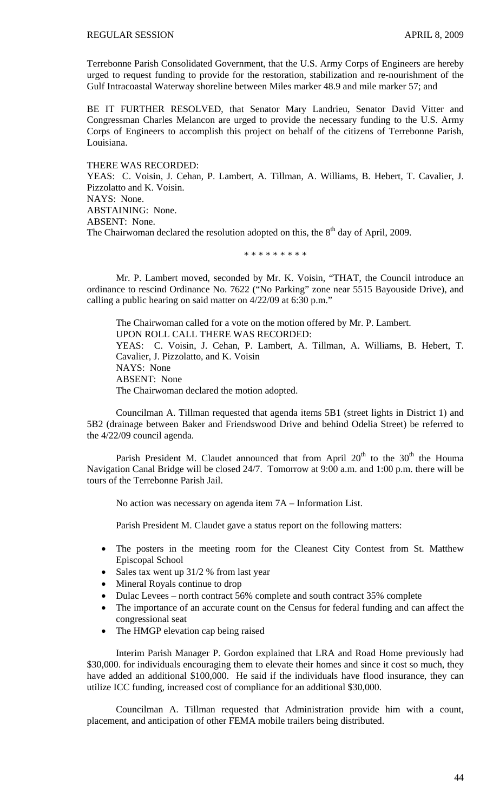Terrebonne Parish Consolidated Government, that the U.S. Army Corps of Engineers are hereby urged to request funding to provide for the restoration, stabilization and re-nourishment of the Gulf Intracoastal Waterway shoreline between Miles marker 48.9 and mile marker 57; and

BE IT FURTHER RESOLVED, that Senator Mary Landrieu, Senator David Vitter and Congressman Charles Melancon are urged to provide the necessary funding to the U.S. Army Corps of Engineers to accomplish this project on behalf of the citizens of Terrebonne Parish, Louisiana.

THERE WAS RECORDED: YEAS: C. Voisin, J. Cehan, P. Lambert, A. Tillman, A. Williams, B. Hebert, T. Cavalier, J. Pizzolatto and K. Voisin. NAYS: None. ABSTAINING: None. ABSENT: None. The Chairwoman declared the resolution adopted on this, the  $8<sup>th</sup>$  day of April, 2009.

## \* \* \* \* \* \* \* \* \*

Mr. P. Lambert moved, seconded by Mr. K. Voisin, "THAT, the Council introduce an ordinance to rescind Ordinance No. 7622 ("No Parking" zone near 5515 Bayouside Drive), and calling a public hearing on said matter on 4/22/09 at 6:30 p.m."

The Chairwoman called for a vote on the motion offered by Mr. P. Lambert. UPON ROLL CALL THERE WAS RECORDED: YEAS: C. Voisin, J. Cehan, P. Lambert, A. Tillman, A. Williams, B. Hebert, T. Cavalier, J. Pizzolatto, and K. Voisin NAYS: None ABSENT: None The Chairwoman declared the motion adopted.

Councilman A. Tillman requested that agenda items 5B1 (street lights in District 1) and 5B2 (drainage between Baker and Friendswood Drive and behind Odelia Street) be referred to the 4/22/09 council agenda.

Parish President M. Claudet announced that from April  $20<sup>th</sup>$  to the  $30<sup>th</sup>$  the Houma Navigation Canal Bridge will be closed 24/7. Tomorrow at 9:00 a.m. and 1:00 p.m. there will be tours of the Terrebonne Parish Jail.

No action was necessary on agenda item 7A – Information List.

Parish President M. Claudet gave a status report on the following matters:

- The posters in the meeting room for the Cleanest City Contest from St. Matthew Episcopal School
- Sales tax went up 31/2 % from last year
- Mineral Royals continue to drop
- Dulac Levees north contract 56% complete and south contract 35% complete
- The importance of an accurate count on the Census for federal funding and can affect the congressional seat
- The HMGP elevation cap being raised

Interim Parish Manager P. Gordon explained that LRA and Road Home previously had \$30,000. for individuals encouraging them to elevate their homes and since it cost so much, they have added an additional \$100,000. He said if the individuals have flood insurance, they can utilize ICC funding, increased cost of compliance for an additional \$30,000.

 Councilman A. Tillman requested that Administration provide him with a count, placement, and anticipation of other FEMA mobile trailers being distributed.